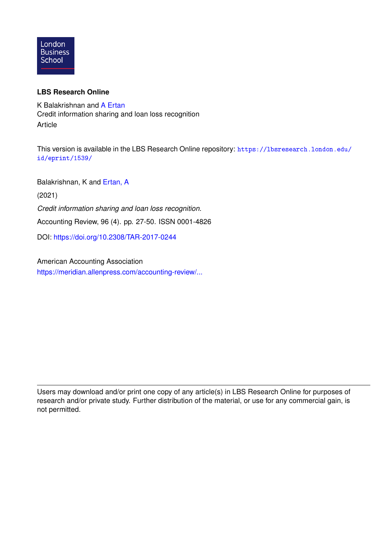

# **LBS Research Online**

K Balakrishnan and [A Ertan](https://lbsresearch.london.edu/view/lbs_authors/2262516.html) Credit information sharing and loan loss recognition Article

This version is available in the LBS Research Online repository: [https://lbsresearch.london.edu/](https://lbsresearch.london.edu/id/eprint/1539/) [id/eprint/1539/](https://lbsresearch.london.edu/id/eprint/1539/)

Balakrishnan, K and [Ertan, A](https://lbsresearch.london.edu/view/lbs_authors/2262516.html)

(2021)

*Credit information sharing and loan loss recognition.*

Accounting Review, 96 (4). pp. 27-50. ISSN 0001-4826

DOI: <https://doi.org/10.2308/TAR-2017-0244>

American Accounting Association [https://meridian.allenpress.com/accounting-review/...](https://meridian.allenpress.com/accounting-review/article-abstract/doi/10.2308/TAR-2017-0244/461596/Credit-Information-Sharing-and-Loan-Loss?redirectedFrom=fulltext)

Users may download and/or print one copy of any article(s) in LBS Research Online for purposes of research and/or private study. Further distribution of the material, or use for any commercial gain, is not permitted.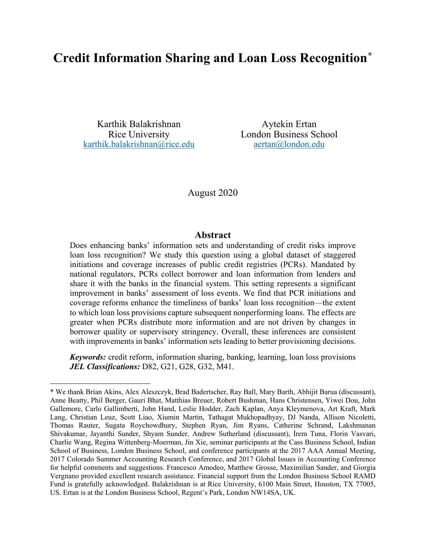# **Credit Information Sharing and Loan Loss Recognition[\\*](#page-1-0)**

Karthik Balakrishnan Rice University [karthik.balakrishnan@rice.edu](mailto:karthik.balakrishnan@rice.edu)

-

Aytekin Ertan London Business School [aertan@london.edu](mailto:aertan@london.edu)

#### August 2020

#### **Abstract**

Does enhancing banks' information sets and understanding of credit risks improve loan loss recognition? We study this question using a global dataset of staggered initiations and coverage increases of public credit registries (PCRs). Mandated by national regulators, PCRs collect borrower and loan information from lenders and share it with the banks in the financial system. This setting represents a significant improvement in banks' assessment of loss events. We find that PCR initiations and coverage reforms enhance the timeliness of banks' loan loss recognition—the extent to which loan loss provisions capture subsequent nonperforming loans. The effects are greater when PCRs distribute more information and are not driven by changes in borrower quality or supervisory stringency. Overall, these inferences are consistent with improvements in banks' information sets leading to better provisioning decisions.

*Keywords:* credit reform, information sharing, banking, learning, loan loss provisions *JEL Classifications:* D82, G21, G28, G32, M41.

<span id="page-1-0"></span><sup>\*</sup> We thank Brian Akins, Alex Aleszczyk, Brad Badertscher, Ray Ball, Mary Barth, Abhijit Barua (discussant), Anne Beatty, Phil Berger, Gauri Bhat, Matthias Breuer, Robert Bushman, Hans Christensen, Yiwei Dou, John Gallemore, Carlo Gallimberti, John Hand, Leslie Hodder, Zach Kaplan, Anya Kleymenova, Art Kraft, Mark Lang, Christian Leuz, Scott Liao, Xiumin Martin, Tathagat Mukhopadhyay, DJ Nanda, Allison Nicoletti, Thomas Rauter, Sugata Roychowdhury, Stephen Ryan, Jim Ryans, Catherine Schrand, Lakshmanan Shivakumar, Jayanthi Sunder, Shyam Sunder, Andrew Sutherland (discussant), İrem Tuna, Florin Vasvari, Charlie Wang, Regina Wittenberg-Moerman, Jin Xie, seminar participants at the Cass Business School, Indian School of Business, London Business School, and conference participants at the 2017 AAA Annual Meeting, 2017 Colorado Summer Accounting Research Conference, and 2017 Global Issues in Accounting Conference for helpful comments and suggestions. Francesco Amodeo, Matthew Grosse, Maximilian Sander, and Giorgia Vergnano provided excellent research assistance. Financial support from the London Business School RAMD Fund is gratefully acknowledged. Balakrishnan is at Rice University, 6100 Main Street, Houston, TX 77005, US. Ertan is at the London Business School, Regent's Park, London NW14SA, UK.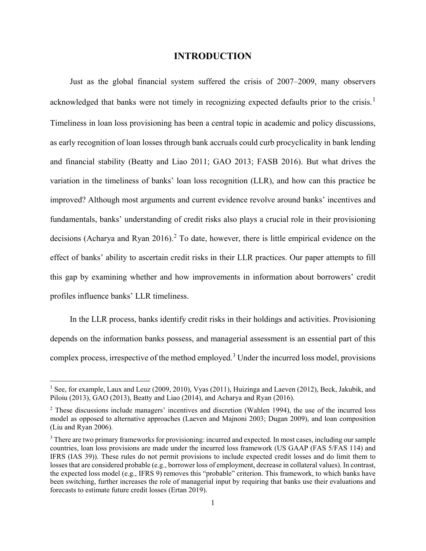#### **INTRODUCTION**

Just as the global financial system suffered the crisis of 2007–2009, many observers acknowledged that banks were not timely in recognizing expected defaults prior to the crisis.<sup>[1](#page-2-0)</sup> Timeliness in loan loss provisioning has been a central topic in academic and policy discussions, as early recognition of loan losses through bank accruals could curb procyclicality in bank lending and financial stability (Beatty and Liao 2011; GAO 2013; FASB 2016). But what drives the variation in the timeliness of banks' loan loss recognition (LLR), and how can this practice be improved? Although most arguments and current evidence revolve around banks' incentives and fundamentals, banks' understanding of credit risks also plays a crucial role in their provisioning decisions (Acharya and Ryan [2](#page-2-1)016).<sup>2</sup> To date, however, there is little empirical evidence on the effect of banks' ability to ascertain credit risks in their LLR practices. Our paper attempts to fill this gap by examining whether and how improvements in information about borrowers' credit profiles influence banks' LLR timeliness.

In the LLR process, banks identify credit risks in their holdings and activities. Provisioning depends on the information banks possess, and managerial assessment is an essential part of this complex process, irrespective of the method employed. [3](#page-2-2) Under the incurred loss model, provisions

<span id="page-2-0"></span><sup>&</sup>lt;sup>1</sup> See, for example, Laux and Leuz (2009, 2010), Vyas (2011), Huizinga and Laeven (2012), Beck, Jakubik, and Piloiu (2013), GAO (2013), Beatty and Liao (2014), and Acharya and Ryan (2016).

<span id="page-2-1"></span><sup>&</sup>lt;sup>2</sup> These discussions include managers' incentives and discretion (Wahlen 1994), the use of the incurred loss model as opposed to alternative approaches (Laeven and Majnoni 2003; Dugan 2009), and loan composition (Liu and Ryan 2006).

<span id="page-2-2"></span><sup>&</sup>lt;sup>3</sup> There are two primary frameworks for provisioning: incurred and expected. In most cases, including our sample countries, loan loss provisions are made under the incurred loss framework (US GAAP (FAS 5/FAS 114) and IFRS (IAS 39)). These rules do not permit provisions to include expected credit losses and do limit them to losses that are considered probable (e.g., borrower loss of employment, decrease in collateral values). In contrast, the expected loss model (e.g., IFRS 9) removes this "probable" criterion. This framework, to which banks have been switching, further increases the role of managerial input by requiring that banks use their evaluations and forecasts to estimate future credit losses (Ertan 2019).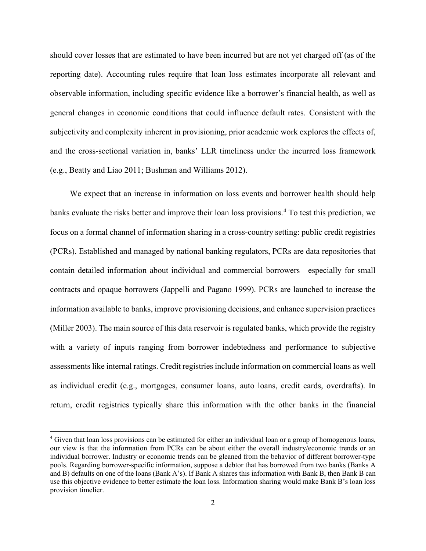should cover losses that are estimated to have been incurred but are not yet charged off (as of the reporting date). Accounting rules require that loan loss estimates incorporate all relevant and observable information, including specific evidence like a borrower's financial health, as well as general changes in economic conditions that could influence default rates. Consistent with the subjectivity and complexity inherent in provisioning, prior academic work explores the effects of, and the cross-sectional variation in, banks' LLR timeliness under the incurred loss framework (e.g., Beatty and Liao 2011; Bushman and Williams 2012).

We expect that an increase in information on loss events and borrower health should help banks evaluate the risks better and improve their loan loss provisions. [4](#page-3-0) To test this prediction, we focus on a formal channel of information sharing in a cross-country setting: public credit registries (PCRs). Established and managed by national banking regulators, PCRs are data repositories that contain detailed information about individual and commercial borrowers—especially for small contracts and opaque borrowers (Jappelli and Pagano 1999). PCRs are launched to increase the information available to banks, improve provisioning decisions, and enhance supervision practices (Miller 2003). The main source of this data reservoir is regulated banks, which provide the registry with a variety of inputs ranging from borrower indebtedness and performance to subjective assessments like internal ratings. Credit registries include information on commercial loans as well as individual credit (e.g., mortgages, consumer loans, auto loans, credit cards, overdrafts). In return, credit registries typically share this information with the other banks in the financial

<span id="page-3-0"></span><sup>&</sup>lt;sup>4</sup> Given that loan loss provisions can be estimated for either an individual loan or a group of homogenous loans, our view is that the information from PCRs can be about either the overall industry/economic trends or an individual borrower. Industry or economic trends can be gleaned from the behavior of different borrower-type pools. Regarding borrower-specific information, suppose a debtor that has borrowed from two banks (Banks A and B) defaults on one of the loans (Bank A's). If Bank A shares this information with Bank B, then Bank B can use this objective evidence to better estimate the loan loss. Information sharing would make Bank B's loan loss provision timelier.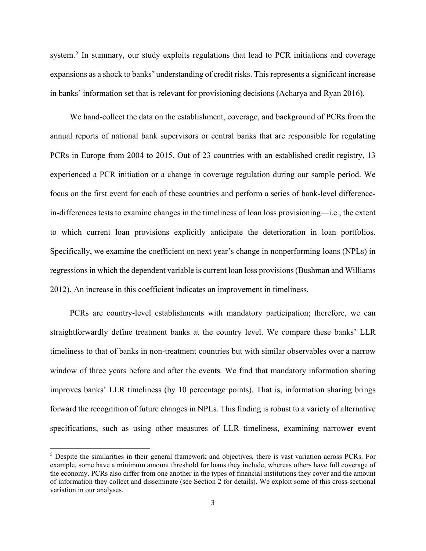system.<sup>[5](#page-4-0)</sup> In summary, our study exploits regulations that lead to PCR initiations and coverage expansions as a shock to banks' understanding of credit risks. This represents a significant increase in banks' information set that is relevant for provisioning decisions (Acharya and Ryan 2016).

We hand-collect the data on the establishment, coverage, and background of PCRs from the annual reports of national bank supervisors or central banks that are responsible for regulating PCRs in Europe from 2004 to 2015. Out of 23 countries with an established credit registry, 13 experienced a PCR initiation or a change in coverage regulation during our sample period. We focus on the first event for each of these countries and perform a series of bank-level differencein-differences tests to examine changes in the timeliness of loan loss provisioning—i.e., the extent to which current loan provisions explicitly anticipate the deterioration in loan portfolios. Specifically, we examine the coefficient on next year's change in nonperforming loans (NPLs) in regressions in which the dependent variable is current loan loss provisions (Bushman and Williams 2012). An increase in this coefficient indicates an improvement in timeliness.

PCRs are country-level establishments with mandatory participation; therefore, we can straightforwardly define treatment banks at the country level. We compare these banks' LLR timeliness to that of banks in non-treatment countries but with similar observables over a narrow window of three years before and after the events. We find that mandatory information sharing improves banks' LLR timeliness (by 10 percentage points). That is, information sharing brings forward the recognition of future changes in NPLs. This finding is robust to a variety of alternative specifications, such as using other measures of LLR timeliness, examining narrower event

-

<span id="page-4-0"></span><sup>5</sup> Despite the similarities in their general framework and objectives, there is vast variation across PCRs. For example, some have a minimum amount threshold for loans they include, whereas others have full coverage of the economy. PCRs also differ from one another in the types of financial institutions they cover and the amount of information they collect and disseminate (see Section 2 for details). We exploit some of this cross-sectional variation in our analyses.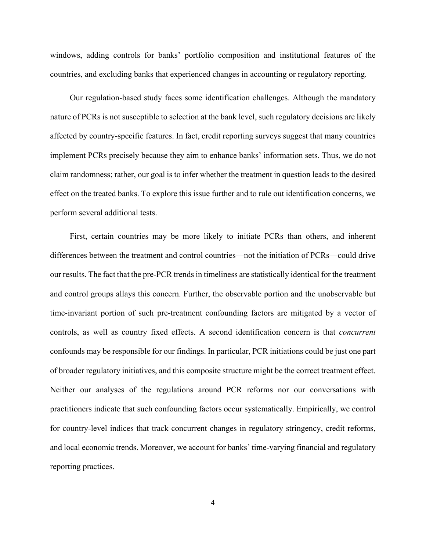windows, adding controls for banks' portfolio composition and institutional features of the countries, and excluding banks that experienced changes in accounting or regulatory reporting.

Our regulation-based study faces some identification challenges. Although the mandatory nature of PCRs is not susceptible to selection at the bank level, such regulatory decisions are likely affected by country-specific features. In fact, credit reporting surveys suggest that many countries implement PCRs precisely because they aim to enhance banks' information sets. Thus, we do not claim randomness; rather, our goal is to infer whether the treatment in question leads to the desired effect on the treated banks. To explore this issue further and to rule out identification concerns, we perform several additional tests.

First, certain countries may be more likely to initiate PCRs than others, and inherent differences between the treatment and control countries—not the initiation of PCRs—could drive our results. The fact that the pre-PCR trends in timeliness are statistically identical for the treatment and control groups allays this concern. Further, the observable portion and the unobservable but time-invariant portion of such pre-treatment confounding factors are mitigated by a vector of controls, as well as country fixed effects. A second identification concern is that *concurrent* confounds may be responsible for our findings. In particular, PCR initiations could be just one part of broader regulatory initiatives, and this composite structure might be the correct treatment effect. Neither our analyses of the regulations around PCR reforms nor our conversations with practitioners indicate that such confounding factors occur systematically. Empirically, we control for country-level indices that track concurrent changes in regulatory stringency, credit reforms, and local economic trends. Moreover, we account for banks' time-varying financial and regulatory reporting practices.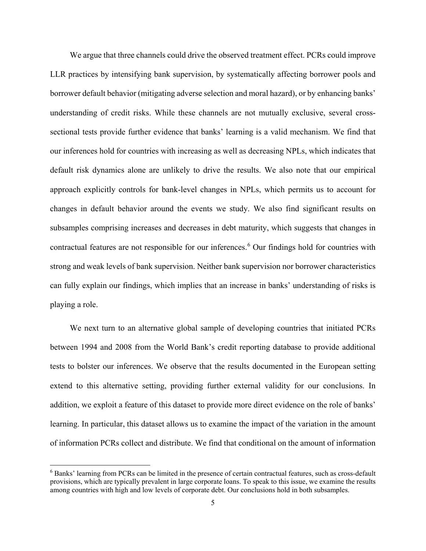We argue that three channels could drive the observed treatment effect. PCRs could improve LLR practices by intensifying bank supervision, by systematically affecting borrower pools and borrower default behavior (mitigating adverse selection and moral hazard), or by enhancing banks' understanding of credit risks. While these channels are not mutually exclusive, several crosssectional tests provide further evidence that banks' learning is a valid mechanism. We find that our inferences hold for countries with increasing as well as decreasing NPLs, which indicates that default risk dynamics alone are unlikely to drive the results. We also note that our empirical approach explicitly controls for bank-level changes in NPLs, which permits us to account for changes in default behavior around the events we study. We also find significant results on subsamples comprising increases and decreases in debt maturity, which suggests that changes in contractual features are not responsible for our inferences. [6](#page-6-0) Our findings hold for countries with strong and weak levels of bank supervision. Neither bank supervision nor borrower characteristics can fully explain our findings, which implies that an increase in banks' understanding of risks is playing a role.

We next turn to an alternative global sample of developing countries that initiated PCRs between 1994 and 2008 from the World Bank's credit reporting database to provide additional tests to bolster our inferences. We observe that the results documented in the European setting extend to this alternative setting, providing further external validity for our conclusions. In addition, we exploit a feature of this dataset to provide more direct evidence on the role of banks' learning. In particular, this dataset allows us to examine the impact of the variation in the amount of information PCRs collect and distribute. We find that conditional on the amount of information

<u>.</u>

<span id="page-6-0"></span><sup>6</sup> Banks' learning from PCRs can be limited in the presence of certain contractual features, such as cross-default provisions, which are typically prevalent in large corporate loans. To speak to this issue, we examine the results among countries with high and low levels of corporate debt. Our conclusions hold in both subsamples.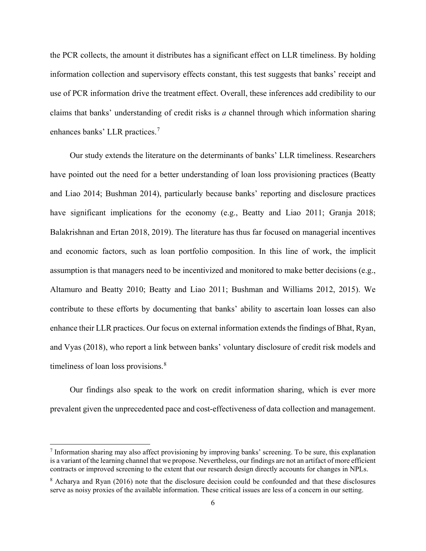the PCR collects, the amount it distributes has a significant effect on LLR timeliness. By holding information collection and supervisory effects constant, this test suggests that banks' receipt and use of PCR information drive the treatment effect. Overall, these inferences add credibility to our claims that banks' understanding of credit risks is *a* channel through which information sharing enhances banks' LLR practices.[7](#page-7-0)

Our study extends the literature on the determinants of banks' LLR timeliness. Researchers have pointed out the need for a better understanding of loan loss provisioning practices (Beatty and Liao 2014; Bushman 2014), particularly because banks' reporting and disclosure practices have significant implications for the economy (e.g., Beatty and Liao 2011; Granja 2018; Balakrishnan and Ertan 2018, 2019). The literature has thus far focused on managerial incentives and economic factors, such as loan portfolio composition. In this line of work, the implicit assumption is that managers need to be incentivized and monitored to make better decisions (e.g., Altamuro and Beatty 2010; Beatty and Liao 2011; Bushman and Williams 2012, 2015). We contribute to these efforts by documenting that banks' ability to ascertain loan losses can also enhance their LLR practices. Our focus on external information extends the findings of Bhat, Ryan, and Vyas (2018), who report a link between banks' voluntary disclosure of credit risk models and timeliness of loan loss provisions.<sup>[8](#page-7-1)</sup>

Our findings also speak to the work on credit information sharing, which is ever more prevalent given the unprecedented pace and cost-effectiveness of data collection and management.

<span id="page-7-0"></span> <sup>7</sup> Information sharing may also affect provisioning by improving banks' screening. To be sure, this explanation is a variant of the learning channel that we propose. Nevertheless, our findings are not an artifact of more efficient contracts or improved screening to the extent that our research design directly accounts for changes in NPLs.

<span id="page-7-1"></span><sup>8</sup> Acharya and Ryan (2016) note that the disclosure decision could be confounded and that these disclosures serve as noisy proxies of the available information. These critical issues are less of a concern in our setting.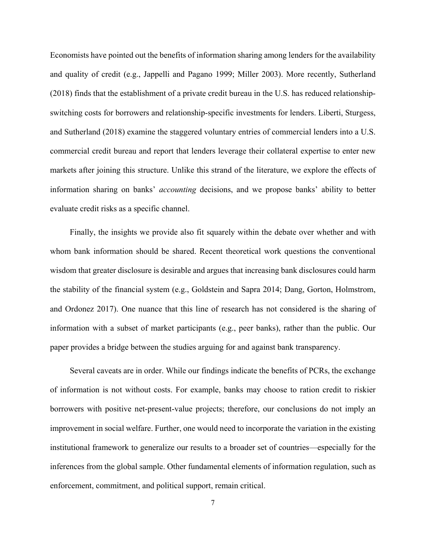Economists have pointed out the benefits of information sharing among lenders for the availability and quality of credit (e.g., Jappelli and Pagano 1999; Miller 2003). More recently, Sutherland (2018) finds that the establishment of a private credit bureau in the U.S. has reduced relationshipswitching costs for borrowers and relationship-specific investments for lenders. Liberti, Sturgess, and Sutherland (2018) examine the staggered voluntary entries of commercial lenders into a U.S. commercial credit bureau and report that lenders leverage their collateral expertise to enter new markets after joining this structure. Unlike this strand of the literature, we explore the effects of information sharing on banks' *accounting* decisions, and we propose banks' ability to better evaluate credit risks as a specific channel.

Finally, the insights we provide also fit squarely within the debate over whether and with whom bank information should be shared. Recent theoretical work questions the conventional wisdom that greater disclosure is desirable and argues that increasing bank disclosures could harm the stability of the financial system (e.g., Goldstein and Sapra 2014; Dang, Gorton, Holmstrom, and Ordonez 2017). One nuance that this line of research has not considered is the sharing of information with a subset of market participants (e.g., peer banks), rather than the public. Our paper provides a bridge between the studies arguing for and against bank transparency.

Several caveats are in order. While our findings indicate the benefits of PCRs, the exchange of information is not without costs. For example, banks may choose to ration credit to riskier borrowers with positive net-present-value projects; therefore, our conclusions do not imply an improvement in social welfare. Further, one would need to incorporate the variation in the existing institutional framework to generalize our results to a broader set of countries—especially for the inferences from the global sample. Other fundamental elements of information regulation, such as enforcement, commitment, and political support, remain critical.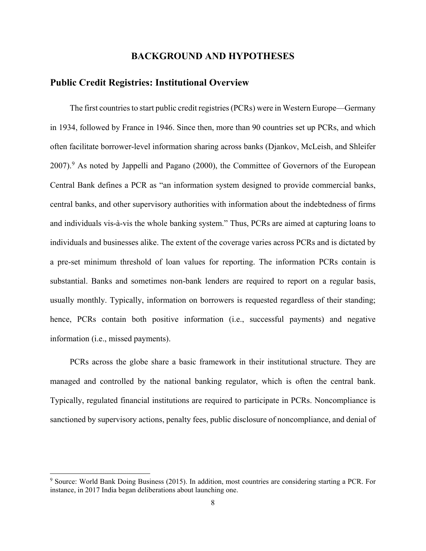# **BACKGROUND AND HYPOTHESES**

# **Public Credit Registries: Institutional Overview**

The first countries to start public credit registries (PCRs) were in Western Europe—Germany in 1934, followed by France in 1946. Since then, more than 90 countries set up PCRs, and which often facilitate borrower-level information sharing across banks (Djankov, McLeish, and Shleifer 2007).[9](#page-9-0) As noted by Jappelli and Pagano (2000), the Committee of Governors of the European Central Bank defines a PCR as "an information system designed to provide commercial banks, central banks, and other supervisory authorities with information about the indebtedness of firms and individuals vis-à-vis the whole banking system." Thus, PCRs are aimed at capturing loans to individuals and businesses alike. The extent of the coverage varies across PCRs and is dictated by a pre-set minimum threshold of loan values for reporting. The information PCRs contain is substantial. Banks and sometimes non-bank lenders are required to report on a regular basis, usually monthly. Typically, information on borrowers is requested regardless of their standing; hence, PCRs contain both positive information (i.e., successful payments) and negative information (i.e., missed payments).

PCRs across the globe share a basic framework in their institutional structure. They are managed and controlled by the national banking regulator, which is often the central bank. Typically, regulated financial institutions are required to participate in PCRs. Noncompliance is sanctioned by supervisory actions, penalty fees, public disclosure of noncompliance, and denial of

<span id="page-9-0"></span><sup>&</sup>lt;sup>9</sup> Source: World Bank Doing Business (2015). In addition, most countries are considering starting a PCR. For instance, in 2017 India began deliberations about launching one.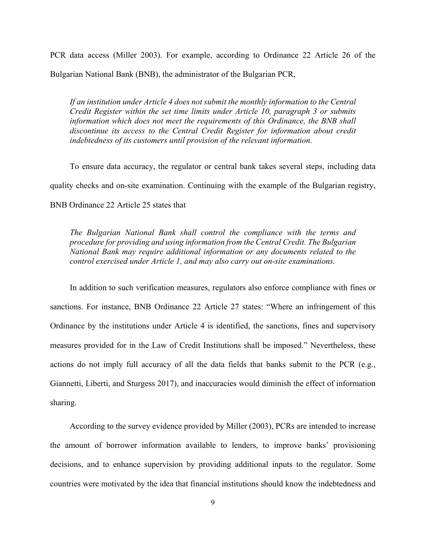PCR data access (Miller 2003). For example, according to Ordinance 22 Article 26 of the Bulgarian National Bank (BNB), the administrator of the Bulgarian PCR,

*If an institution under Article 4 does not submit the monthly information to the Central Credit Register within the set time limits under Article 10, paragraph 3 or submits information which does not meet the requirements of this Ordinance, the BNB shall discontinue its access to the Central Credit Register for information about credit indebtedness of its customers until provision of the relevant information.*

To ensure data accuracy, the regulator or central bank takes several steps, including data quality checks and on-site examination. Continuing with the example of the Bulgarian registry, BNB Ordinance 22 Article 25 states that

*The Bulgarian National Bank shall control the compliance with the terms and procedure for providing and using information from the Central Credit. The Bulgarian National Bank may require additional information or any documents related to the control exercised under Article 1, and may also carry out on-site examinations.*

In addition to such verification measures, regulators also enforce compliance with fines or sanctions. For instance, BNB Ordinance 22 Article 27 states: "Where an infringement of this Ordinance by the institutions under Article 4 is identified, the sanctions, fines and supervisory measures provided for in the Law of Credit Institutions shall be imposed." Nevertheless, these actions do not imply full accuracy of all the data fields that banks submit to the PCR (e.g., Giannetti, Liberti, and Sturgess 2017), and inaccuracies would diminish the effect of information sharing.

According to the survey evidence provided by Miller (2003), PCRs are intended to increase the amount of borrower information available to lenders, to improve banks' provisioning decisions, and to enhance supervision by providing additional inputs to the regulator. Some countries were motivated by the idea that financial institutions should know the indebtedness and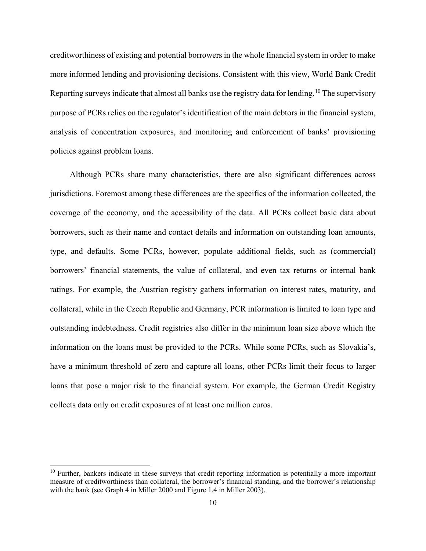creditworthiness of existing and potential borrowers in the whole financial system in order to make more informed lending and provisioning decisions. Consistent with this view, World Bank Credit Reporting surveys indicate that almost all banks use the registry data for lending.<sup>[10](#page-11-0)</sup> The supervisory purpose of PCRs relies on the regulator's identification of the main debtors in the financial system, analysis of concentration exposures, and monitoring and enforcement of banks' provisioning policies against problem loans.

Although PCRs share many characteristics, there are also significant differences across jurisdictions. Foremost among these differences are the specifics of the information collected, the coverage of the economy, and the accessibility of the data. All PCRs collect basic data about borrowers, such as their name and contact details and information on outstanding loan amounts, type, and defaults. Some PCRs, however, populate additional fields, such as (commercial) borrowers' financial statements, the value of collateral, and even tax returns or internal bank ratings. For example, the Austrian registry gathers information on interest rates, maturity, and collateral, while in the Czech Republic and Germany, PCR information is limited to loan type and outstanding indebtedness. Credit registries also differ in the minimum loan size above which the information on the loans must be provided to the PCRs. While some PCRs, such as Slovakia's, have a minimum threshold of zero and capture all loans, other PCRs limit their focus to larger loans that pose a major risk to the financial system. For example, the German Credit Registry collects data only on credit exposures of at least one million euros.

<span id="page-11-0"></span> $10$  Further, bankers indicate in these surveys that credit reporting information is potentially a more important measure of creditworthiness than collateral, the borrower's financial standing, and the borrower's relationship with the bank (see Graph 4 in Miller 2000 and Figure 1.4 in Miller 2003).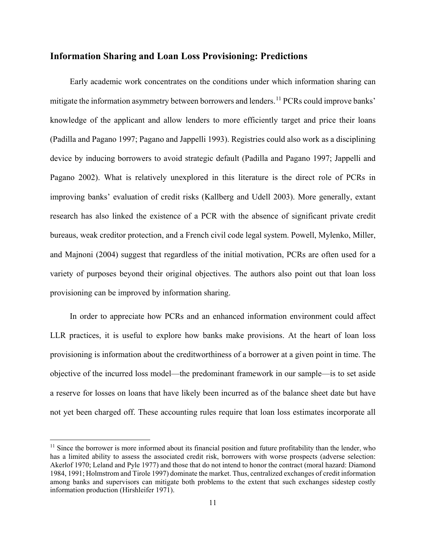## **Information Sharing and Loan Loss Provisioning: Predictions**

Early academic work concentrates on the conditions under which information sharing can mitigate the information asymmetry between borrowers and lenders.<sup>[11](#page-12-0)</sup> PCRs could improve banks' knowledge of the applicant and allow lenders to more efficiently target and price their loans (Padilla and Pagano 1997; Pagano and Jappelli 1993). Registries could also work as a disciplining device by inducing borrowers to avoid strategic default (Padilla and Pagano 1997; Jappelli and Pagano 2002). What is relatively unexplored in this literature is the direct role of PCRs in improving banks' evaluation of credit risks (Kallberg and Udell 2003). More generally, extant research has also linked the existence of a PCR with the absence of significant private credit bureaus, weak creditor protection, and a French civil code legal system. Powell, Mylenko, Miller, and Majnoni (2004) suggest that regardless of the initial motivation, PCRs are often used for a variety of purposes beyond their original objectives. The authors also point out that loan loss provisioning can be improved by information sharing.

In order to appreciate how PCRs and an enhanced information environment could affect LLR practices, it is useful to explore how banks make provisions. At the heart of loan loss provisioning is information about the creditworthiness of a borrower at a given point in time. The objective of the incurred loss model—the predominant framework in our sample—is to set aside a reserve for losses on loans that have likely been incurred as of the balance sheet date but have not yet been charged off. These accounting rules require that loan loss estimates incorporate all

<span id="page-12-0"></span> $11$  Since the borrower is more informed about its financial position and future profitability than the lender, who has a limited ability to assess the associated credit risk, borrowers with worse prospects (adverse selection: Akerlof 1970; Leland and Pyle 1977) and those that do not intend to honor the contract (moral hazard: Diamond 1984, 1991; Holmstrom and Tirole 1997) dominate the market. Thus, centralized exchanges of credit information among banks and supervisors can mitigate both problems to the extent that such exchanges sidestep costly information production (Hirshleifer 1971).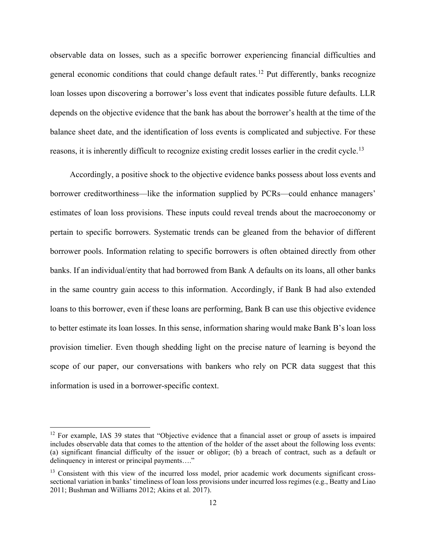observable data on losses, such as a specific borrower experiencing financial difficulties and general economic conditions that could change default rates.<sup>[12](#page-13-0)</sup> Put differently, banks recognize loan losses upon discovering a borrower's loss event that indicates possible future defaults. LLR depends on the objective evidence that the bank has about the borrower's health at the time of the balance sheet date, and the identification of loss events is complicated and subjective. For these reasons, it is inherently difficult to recognize existing credit losses earlier in the credit cycle.<sup>[13](#page-13-1)</sup>

Accordingly, a positive shock to the objective evidence banks possess about loss events and borrower creditworthiness—like the information supplied by PCRs—could enhance managers' estimates of loan loss provisions. These inputs could reveal trends about the macroeconomy or pertain to specific borrowers. Systematic trends can be gleaned from the behavior of different borrower pools. Information relating to specific borrowers is often obtained directly from other banks. If an individual/entity that had borrowed from Bank A defaults on its loans, all other banks in the same country gain access to this information. Accordingly, if Bank B had also extended loans to this borrower, even if these loans are performing, Bank B can use this objective evidence to better estimate its loan losses. In this sense, information sharing would make Bank B's loan loss provision timelier. Even though shedding light on the precise nature of learning is beyond the scope of our paper, our conversations with bankers who rely on PCR data suggest that this information is used in a borrower-specific context.

<span id="page-13-0"></span><sup>&</sup>lt;sup>12</sup> For example, IAS 39 states that "Objective evidence that a financial asset or group of assets is impaired includes observable data that comes to the attention of the holder of the asset about the following loss events: (a) significant financial difficulty of the issuer or obligor; (b) a breach of contract, such as a default or delinquency in interest or principal payments…."

<span id="page-13-1"></span><sup>&</sup>lt;sup>13</sup> Consistent with this view of the incurred loss model, prior academic work documents significant crosssectional variation in banks' timeliness of loan loss provisions under incurred loss regimes (e.g., Beatty and Liao 2011; Bushman and Williams 2012; Akins et al. 2017).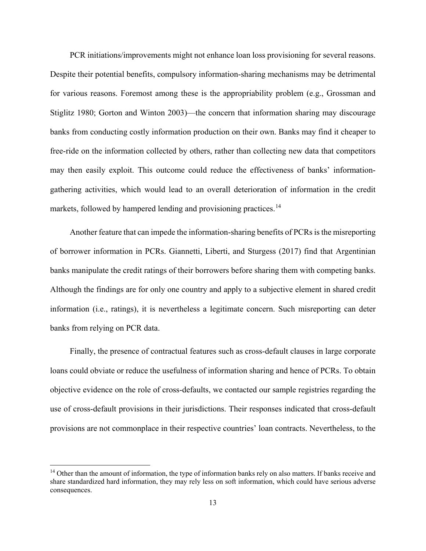PCR initiations/improvements might not enhance loan loss provisioning for several reasons. Despite their potential benefits, compulsory information-sharing mechanisms may be detrimental for various reasons. Foremost among these is the appropriability problem (e.g., Grossman and Stiglitz 1980; Gorton and Winton 2003)—the concern that information sharing may discourage banks from conducting costly information production on their own. Banks may find it cheaper to free-ride on the information collected by others, rather than collecting new data that competitors may then easily exploit. This outcome could reduce the effectiveness of banks' informationgathering activities, which would lead to an overall deterioration of information in the credit markets, followed by hampered lending and provisioning practices.<sup>[14](#page-14-0)</sup>

Another feature that can impede the information-sharing benefits of PCRs is the misreporting of borrower information in PCRs. Giannetti, Liberti, and Sturgess (2017) find that Argentinian banks manipulate the credit ratings of their borrowers before sharing them with competing banks. Although the findings are for only one country and apply to a subjective element in shared credit information (i.e., ratings), it is nevertheless a legitimate concern. Such misreporting can deter banks from relying on PCR data.

Finally, the presence of contractual features such as cross-default clauses in large corporate loans could obviate or reduce the usefulness of information sharing and hence of PCRs. To obtain objective evidence on the role of cross-defaults, we contacted our sample registries regarding the use of cross-default provisions in their jurisdictions. Their responses indicated that cross-default provisions are not commonplace in their respective countries' loan contracts. Nevertheless, to the

<span id="page-14-0"></span><sup>&</sup>lt;sup>14</sup> Other than the amount of information, the type of information banks rely on also matters. If banks receive and share standardized hard information, they may rely less on soft information, which could have serious adverse consequences.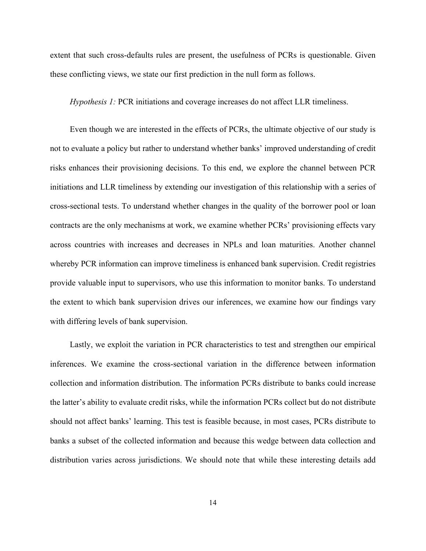extent that such cross-defaults rules are present, the usefulness of PCRs is questionable. Given these conflicting views, we state our first prediction in the null form as follows.

*Hypothesis 1:* PCR initiations and coverage increases do not affect LLR timeliness.

Even though we are interested in the effects of PCRs, the ultimate objective of our study is not to evaluate a policy but rather to understand whether banks' improved understanding of credit risks enhances their provisioning decisions. To this end, we explore the channel between PCR initiations and LLR timeliness by extending our investigation of this relationship with a series of cross-sectional tests. To understand whether changes in the quality of the borrower pool or loan contracts are the only mechanisms at work, we examine whether PCRs' provisioning effects vary across countries with increases and decreases in NPLs and loan maturities. Another channel whereby PCR information can improve timeliness is enhanced bank supervision. Credit registries provide valuable input to supervisors, who use this information to monitor banks. To understand the extent to which bank supervision drives our inferences, we examine how our findings vary with differing levels of bank supervision.

Lastly, we exploit the variation in PCR characteristics to test and strengthen our empirical inferences. We examine the cross-sectional variation in the difference between information collection and information distribution. The information PCRs distribute to banks could increase the latter's ability to evaluate credit risks, while the information PCRs collect but do not distribute should not affect banks' learning. This test is feasible because, in most cases, PCRs distribute to banks a subset of the collected information and because this wedge between data collection and distribution varies across jurisdictions. We should note that while these interesting details add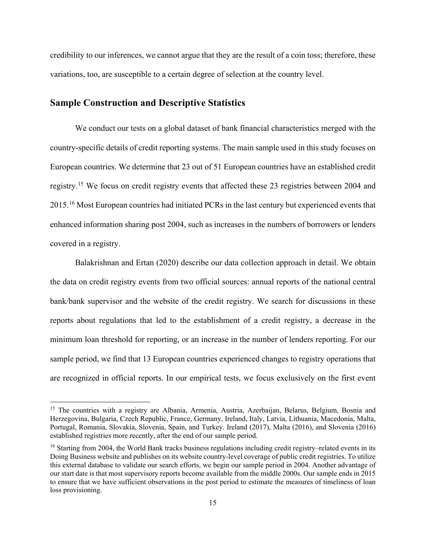credibility to our inferences, we cannot argue that they are the result of a coin toss; therefore, these variations, too, are susceptible to a certain degree of selection at the country level.

## **Sample Construction and Descriptive Statistics**

-

We conduct our tests on a global dataset of bank financial characteristics merged with the country-specific details of credit reporting systems. The main sample used in this study focuses on European countries. We determine that 23 out of 51 European countries have an established credit registry.[15](#page-16-0) We focus on credit registry events that affected these 23 registries between 2004 and 2015.[16](#page-16-1) Most European countries had initiated PCRs in the last century but experienced events that enhanced information sharing post 2004, such as increases in the numbers of borrowers or lenders covered in a registry.

Balakrishnan and Ertan (2020) describe our data collection approach in detail. We obtain the data on credit registry events from two official sources: annual reports of the national central bank/bank supervisor and the website of the credit registry. We search for discussions in these reports about regulations that led to the establishment of a credit registry, a decrease in the minimum loan threshold for reporting, or an increase in the number of lenders reporting. For our sample period, we find that 13 European countries experienced changes to registry operations that are recognized in official reports. In our empirical tests, we focus exclusively on the first event

<span id="page-16-0"></span><sup>&</sup>lt;sup>15</sup> The countries with a registry are Albania, Armenia, Austria, Azerbaijan, Belarus, Belgium, Bosnia and Herzegovina, Bulgaria, Czech Republic, France, Germany, Ireland, Italy, Latvia, Lithuania, Macedonia, Malta, Portugal, Romania, Slovakia, Slovenia, Spain, and Turkey. Ireland (2017), Malta (2016), and Slovenia (2016) established registries more recently, after the end of our sample period.

<span id="page-16-1"></span><sup>&</sup>lt;sup>16</sup> Starting from 2004, the World Bank tracks business regulations including credit registry–related events in its Doing Business website and publishes on its website country-level coverage of public credit registries. To utilize this external database to validate our search efforts, we begin our sample period in 2004. Another advantage of our start date is that most supervisory reports become available from the middle 2000s. Our sample ends in 2015 to ensure that we have sufficient observations in the post period to estimate the measures of timeliness of loan loss provisioning.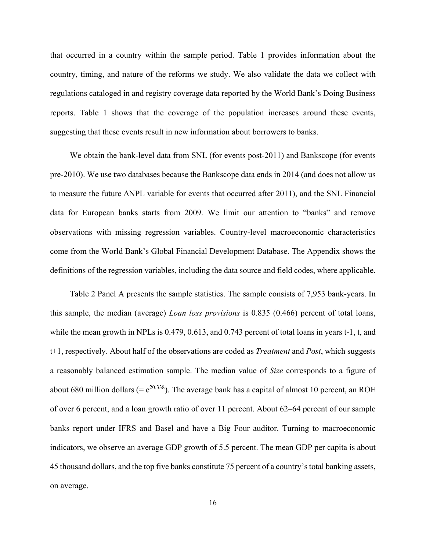that occurred in a country within the sample period. Table 1 provides information about the country, timing, and nature of the reforms we study. We also validate the data we collect with regulations cataloged in and registry coverage data reported by the World Bank's Doing Business reports. Table 1 shows that the coverage of the population increases around these events, suggesting that these events result in new information about borrowers to banks.

We obtain the bank-level data from SNL (for events post-2011) and Bankscope (for events pre-2010). We use two databases because the Bankscope data ends in 2014 (and does not allow us to measure the future ΔNPL variable for events that occurred after 2011), and the SNL Financial data for European banks starts from 2009. We limit our attention to "banks" and remove observations with missing regression variables. Country-level macroeconomic characteristics come from the World Bank's Global Financial Development Database. The Appendix shows the definitions of the regression variables, including the data source and field codes, where applicable.

Table 2 Panel A presents the sample statistics. The sample consists of 7,953 bank-years. In this sample, the median (average) *Loan loss provisions* is 0.835 (0.466) percent of total loans, while the mean growth in NPLs is 0.479, 0.613, and 0.743 percent of total loans in years t-1, t, and t+1, respectively. About half of the observations are coded as *Treatment* and *Post*, which suggests a reasonably balanced estimation sample. The median value of *Size* corresponds to a figure of about 680 million dollars (=  $e^{20.338}$ ). The average bank has a capital of almost 10 percent, an ROE of over 6 percent, and a loan growth ratio of over 11 percent. About 62–64 percent of our sample banks report under IFRS and Basel and have a Big Four auditor. Turning to macroeconomic indicators, we observe an average GDP growth of 5.5 percent. The mean GDP per capita is about 45 thousand dollars, and the top five banks constitute 75 percent of a country's total banking assets, on average.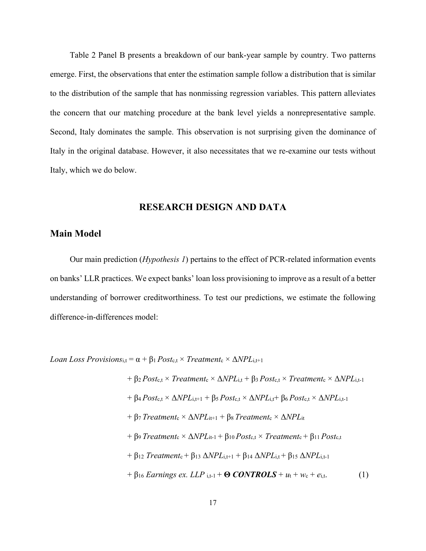Table 2 Panel B presents a breakdown of our bank-year sample by country. Two patterns emerge. First, the observations that enter the estimation sample follow a distribution that is similar to the distribution of the sample that has nonmissing regression variables. This pattern alleviates the concern that our matching procedure at the bank level yields a nonrepresentative sample. Second, Italy dominates the sample. This observation is not surprising given the dominance of Italy in the original database. However, it also necessitates that we re-examine our tests without Italy, which we do below.

# **RESEARCH DESIGN AND DATA**

## **Main Model**

Our main prediction (*Hypothesis 1*) pertains to the effect of PCR-related information events on banks' LLR practices. We expect banks' loan loss provisioning to improve as a result of a better understanding of borrower creditworthiness. To test our predictions, we estimate the following difference-in-differences model:

*Loan Loss Provisions*<sub>i,t</sub> =  $\alpha$  +  $\beta$ <sub>1</sub> *Post*<sub>c</sub>,t × *Treatment*<sub>c</sub> ×  $\Delta NPL$ <sub>i,t+1</sub>

+ 
$$
\beta_2
$$
 Postc,t × Treatmente ×  $\triangle NPL_{i,t}$  +  $\beta_3$  Postc,t × Treatmente ×  $\triangle NPL_{i,t-1}$   
+  $\beta_4$  Postc,t ×  $\triangle NPL_{i,t+1}$  +  $\beta_5$  Postc,t ×  $\triangle NPL_{i,t}$  +  $\beta_6$  Postc,t ×  $\triangle NPL_{i,t-1}$   
+  $\beta_7$  Treatmente ×  $\triangle NPL_{i,t-1}$  +  $\beta_8$  Treatmente ×  $\triangle NPL_{i,t}$   
+  $\beta_9$  Treatmente ×  $\triangle NPL_{i,t-1}$  +  $\beta_{10}$  Postc,t × Treatmente +  $\beta_{11}$  Postc,t  
+  $\beta_{12}$  Treatmente +  $\beta_{13}$   $\triangle NPL_{i,t+1}$  +  $\beta_{14}$   $\triangle NPL_{i,t}$  +  $\beta_{15}$   $\triangle NPL_{i,t-1}$   
+  $\beta_{16}$  Earrings ex. LLP <sub>i,t-1</sub> + **© CONTROLS** +  $u_t$  +  $w_c$  +  $e_{i,t}$ . (1)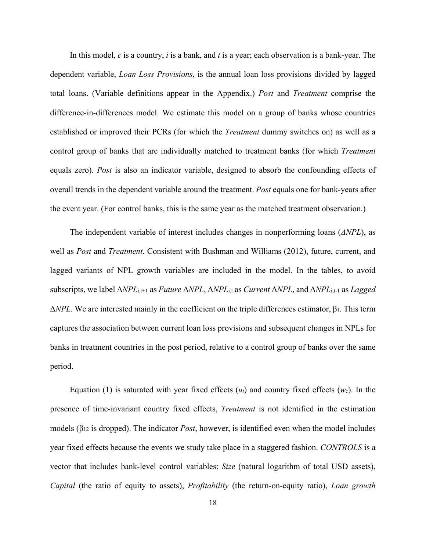In this model, *c* is a country, *i* is a bank, and *t* is a year; each observation is a bank-year. The dependent variable, *Loan Loss Provisions*, is the annual loan loss provisions divided by lagged total loans. (Variable definitions appear in the Appendix.) *Post* and *Treatment* comprise the difference-in-differences model. We estimate this model on a group of banks whose countries established or improved their PCRs (for which the *Treatment* dummy switches on) as well as a control group of banks that are individually matched to treatment banks (for which *Treatment* equals zero). *Post* is also an indicator variable, designed to absorb the confounding effects of overall trends in the dependent variable around the treatment. *Post* equals one for bank-years after the event year. (For control banks, this is the same year as the matched treatment observation.)

The independent variable of interest includes changes in nonperforming loans (*ΔNPL*), as well as *Post* and *Treatment*. Consistent with Bushman and Williams (2012), future, current, and lagged variants of NPL growth variables are included in the model. In the tables, to avoid subscripts, we label Δ*NPL*i,t+1 as *Future* Δ*NPL*, Δ*NPL*i,t as *Current* Δ*NPL*, and Δ*NPL*i,t-1 as *Lagged* Δ*NPL.* We are interested mainly in the coefficient on the triple differences estimator, β1. This term captures the association between current loan loss provisions and subsequent changes in NPLs for banks in treatment countries in the post period, relative to a control group of banks over the same period.

Equation (1) is saturated with year fixed effects (*ut*) and country fixed effects (*wc*). In the presence of time-invariant country fixed effects, *Treatment* is not identified in the estimation models (β<sup>12</sup> is dropped). The indicator *Post*, however, is identified even when the model includes year fixed effects because the events we study take place in a staggered fashion. *CONTROLS* is a vector that includes bank-level control variables: *Size* (natural logarithm of total USD assets), *Capital* (the ratio of equity to assets), *Profitability* (the return-on-equity ratio), *Loan growth*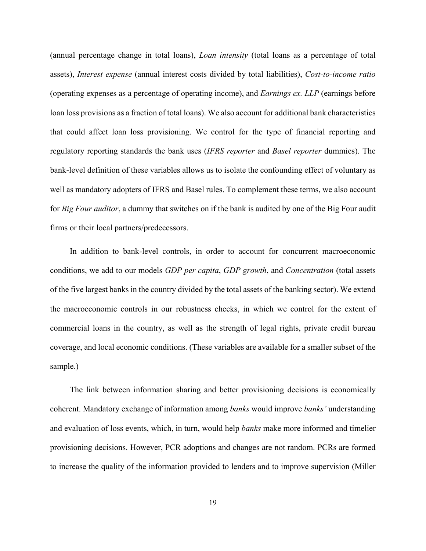(annual percentage change in total loans), *Loan intensity* (total loans as a percentage of total assets), *Interest expense* (annual interest costs divided by total liabilities), *Cost-to-income ratio* (operating expenses as a percentage of operating income), and *Earnings ex. LLP* (earnings before loan loss provisions as a fraction of total loans). We also account for additional bank characteristics that could affect loan loss provisioning. We control for the type of financial reporting and regulatory reporting standards the bank uses (*IFRS reporter* and *Basel reporter* dummies). The bank-level definition of these variables allows us to isolate the confounding effect of voluntary as well as mandatory adopters of IFRS and Basel rules. To complement these terms, we also account for *Big Four auditor*, a dummy that switches on if the bank is audited by one of the Big Four audit firms or their local partners/predecessors.

In addition to bank-level controls, in order to account for concurrent macroeconomic conditions, we add to our models *GDP per capita*, *GDP growth*, and *Concentration* (total assets of the five largest banks in the country divided by the total assets of the banking sector). We extend the macroeconomic controls in our robustness checks, in which we control for the extent of commercial loans in the country, as well as the strength of legal rights, private credit bureau coverage, and local economic conditions. (These variables are available for a smaller subset of the sample.)

The link between information sharing and better provisioning decisions is economically coherent. Mandatory exchange of information among *banks* would improve *banks'* understanding and evaluation of loss events, which, in turn, would help *banks* make more informed and timelier provisioning decisions. However, PCR adoptions and changes are not random. PCRs are formed to increase the quality of the information provided to lenders and to improve supervision (Miller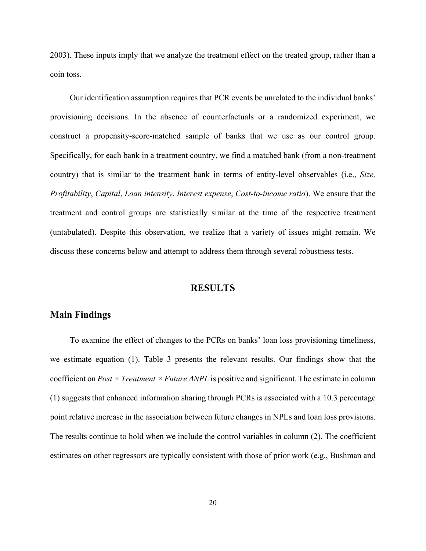2003). These inputs imply that we analyze the treatment effect on the treated group, rather than a coin toss.

Our identification assumption requires that PCR events be unrelated to the individual banks' provisioning decisions. In the absence of counterfactuals or a randomized experiment, we construct a propensity-score-matched sample of banks that we use as our control group. Specifically, for each bank in a treatment country, we find a matched bank (from a non-treatment country) that is similar to the treatment bank in terms of entity-level observables (i.e., *Size, Profitability*, *Capital*, *Loan intensity*, *Interest expense*, *Cost-to-income ratio*). We ensure that the treatment and control groups are statistically similar at the time of the respective treatment (untabulated). Despite this observation, we realize that a variety of issues might remain. We discuss these concerns below and attempt to address them through several robustness tests.

#### **RESULTS**

#### **Main Findings**

To examine the effect of changes to the PCRs on banks' loan loss provisioning timeliness, we estimate equation (1). Table 3 presents the relevant results. Our findings show that the coefficient on *Post × Treatment × Future ΔNPL* is positive and significant. The estimate in column (1) suggests that enhanced information sharing through PCRs is associated with a 10.3 percentage point relative increase in the association between future changes in NPLs and loan loss provisions. The results continue to hold when we include the control variables in column (2). The coefficient estimates on other regressors are typically consistent with those of prior work (e.g., Bushman and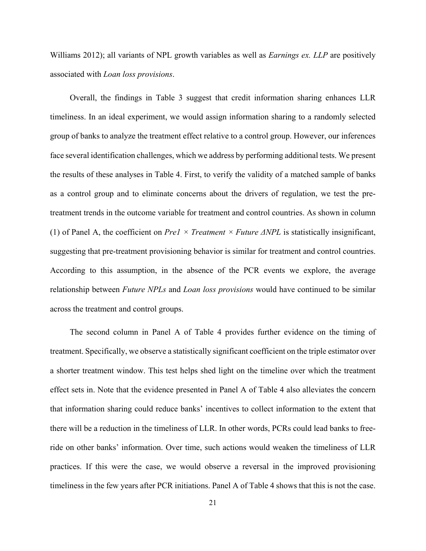Williams 2012); all variants of NPL growth variables as well as *Earnings ex. LLP* are positively associated with *Loan loss provisions*.

Overall, the findings in Table 3 suggest that credit information sharing enhances LLR timeliness. In an ideal experiment, we would assign information sharing to a randomly selected group of banks to analyze the treatment effect relative to a control group. However, our inferences face several identification challenges, which we address by performing additional tests. We present the results of these analyses in Table 4. First, to verify the validity of a matched sample of banks as a control group and to eliminate concerns about the drivers of regulation, we test the pretreatment trends in the outcome variable for treatment and control countries. As shown in column (1) of Panel A, the coefficient on *Pre1 × Treatment × Future ΔNPL* is statistically insignificant, suggesting that pre-treatment provisioning behavior is similar for treatment and control countries. According to this assumption, in the absence of the PCR events we explore, the average relationship between *Future NPLs* and *Loan loss provisions* would have continued to be similar across the treatment and control groups.

The second column in Panel A of Table 4 provides further evidence on the timing of treatment. Specifically, we observe a statistically significant coefficient on the triple estimator over a shorter treatment window. This test helps shed light on the timeline over which the treatment effect sets in. Note that the evidence presented in Panel A of Table 4 also alleviates the concern that information sharing could reduce banks' incentives to collect information to the extent that there will be a reduction in the timeliness of LLR. In other words, PCRs could lead banks to freeride on other banks' information. Over time, such actions would weaken the timeliness of LLR practices. If this were the case, we would observe a reversal in the improved provisioning timeliness in the few years after PCR initiations. Panel A of Table 4 shows that this is not the case.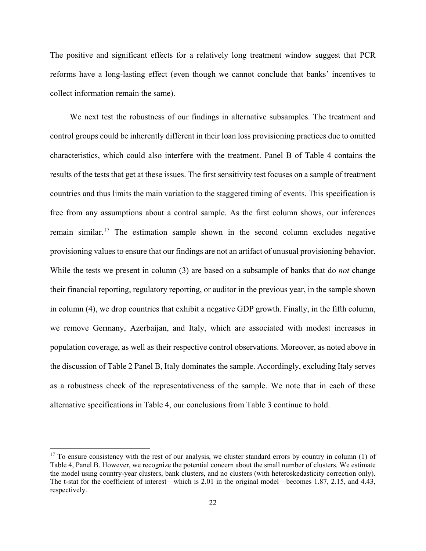The positive and significant effects for a relatively long treatment window suggest that PCR reforms have a long-lasting effect (even though we cannot conclude that banks' incentives to collect information remain the same).

We next test the robustness of our findings in alternative subsamples. The treatment and control groups could be inherently different in their loan loss provisioning practices due to omitted characteristics, which could also interfere with the treatment. Panel B of Table 4 contains the results of the tests that get at these issues. The first sensitivity test focuses on a sample of treatment countries and thus limits the main variation to the staggered timing of events. This specification is free from any assumptions about a control sample. As the first column shows, our inferences remain similar.<sup>[17](#page-23-0)</sup> The estimation sample shown in the second column excludes negative provisioning values to ensure that our findings are not an artifact of unusual provisioning behavior. While the tests we present in column (3) are based on a subsample of banks that do *not* change their financial reporting, regulatory reporting, or auditor in the previous year, in the sample shown in column (4), we drop countries that exhibit a negative GDP growth. Finally, in the fifth column, we remove Germany, Azerbaijan, and Italy, which are associated with modest increases in population coverage, as well as their respective control observations. Moreover, as noted above in the discussion of Table 2 Panel B, Italy dominates the sample. Accordingly, excluding Italy serves as a robustness check of the representativeness of the sample. We note that in each of these alternative specifications in Table 4, our conclusions from Table 3 continue to hold.

<span id="page-23-0"></span> $17$  To ensure consistency with the rest of our analysis, we cluster standard errors by country in column (1) of Table 4, Panel B. However, we recognize the potential concern about the small number of clusters. We estimate the model using country-year clusters, bank clusters, and no clusters (with heteroskedasticity correction only). The t-stat for the coefficient of interest—which is 2.01 in the original model—becomes 1.87, 2.15, and 4.43, respectively.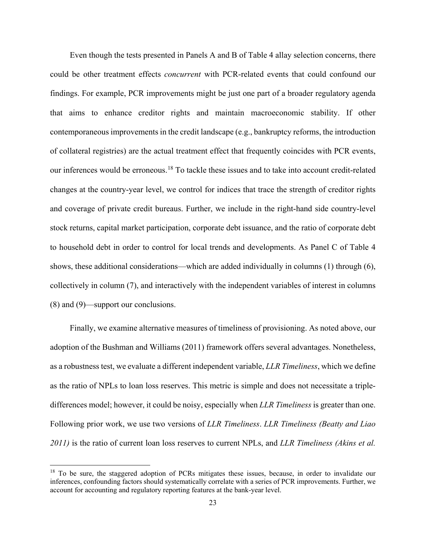Even though the tests presented in Panels A and B of Table 4 allay selection concerns, there could be other treatment effects *concurrent* with PCR-related events that could confound our findings. For example, PCR improvements might be just one part of a broader regulatory agenda that aims to enhance creditor rights and maintain macroeconomic stability. If other contemporaneous improvements in the credit landscape (e.g., bankruptcy reforms, the introduction of collateral registries) are the actual treatment effect that frequently coincides with PCR events, our inferences would be erroneous.[18](#page-24-0) To tackle these issues and to take into account credit-related changes at the country-year level, we control for indices that trace the strength of creditor rights and coverage of private credit bureaus. Further, we include in the right-hand side country-level stock returns, capital market participation, corporate debt issuance, and the ratio of corporate debt to household debt in order to control for local trends and developments. As Panel C of Table 4 shows, these additional considerations—which are added individually in columns (1) through (6), collectively in column (7), and interactively with the independent variables of interest in columns (8) and (9)—support our conclusions.

Finally, we examine alternative measures of timeliness of provisioning. As noted above, our adoption of the Bushman and Williams (2011) framework offers several advantages. Nonetheless, as a robustness test, we evaluate a different independent variable, *LLR Timeliness*, which we define as the ratio of NPLs to loan loss reserves. This metric is simple and does not necessitate a tripledifferences model; however, it could be noisy, especially when *LLR Timeliness* is greater than one. Following prior work, we use two versions of *LLR Timeliness*. *LLR Timeliness (Beatty and Liao 2011)* is the ratio of current loan loss reserves to current NPLs, and *LLR Timeliness (Akins et al.* 

<span id="page-24-0"></span><sup>&</sup>lt;sup>18</sup> To be sure, the staggered adoption of PCRs mitigates these issues, because, in order to invalidate our inferences, confounding factors should systematically correlate with a series of PCR improvements. Further, we account for accounting and regulatory reporting features at the bank-year level.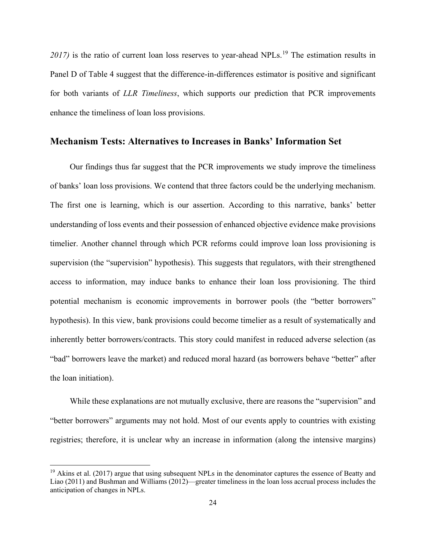2017) is the ratio of current loan loss reserves to year-ahead NPLs.<sup>[19](#page-25-0)</sup> The estimation results in Panel D of Table 4 suggest that the difference-in-differences estimator is positive and significant for both variants of *LLR Timeliness*, which supports our prediction that PCR improvements enhance the timeliness of loan loss provisions.

# **Mechanism Tests: Alternatives to Increases in Banks' Information Set**

Our findings thus far suggest that the PCR improvements we study improve the timeliness of banks' loan loss provisions. We contend that three factors could be the underlying mechanism. The first one is learning, which is our assertion. According to this narrative, banks' better understanding of loss events and their possession of enhanced objective evidence make provisions timelier. Another channel through which PCR reforms could improve loan loss provisioning is supervision (the "supervision" hypothesis). This suggests that regulators, with their strengthened access to information, may induce banks to enhance their loan loss provisioning. The third potential mechanism is economic improvements in borrower pools (the "better borrowers" hypothesis). In this view, bank provisions could become timelier as a result of systematically and inherently better borrowers/contracts. This story could manifest in reduced adverse selection (as "bad" borrowers leave the market) and reduced moral hazard (as borrowers behave "better" after the loan initiation).

While these explanations are not mutually exclusive, there are reasons the "supervision" and "better borrowers" arguments may not hold. Most of our events apply to countries with existing registries; therefore, it is unclear why an increase in information (along the intensive margins)

<span id="page-25-0"></span><sup>&</sup>lt;sup>19</sup> Akins et al. (2017) argue that using subsequent NPLs in the denominator captures the essence of Beatty and Liao (2011) and Bushman and Williams (2012)—greater timeliness in the loan loss accrual process includes the anticipation of changes in NPLs.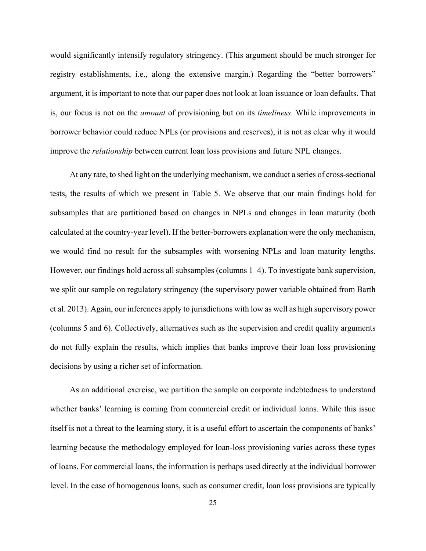would significantly intensify regulatory stringency. (This argument should be much stronger for registry establishments, i.e., along the extensive margin.) Regarding the "better borrowers" argument, it is important to note that our paper does not look at loan issuance or loan defaults. That is, our focus is not on the *amount* of provisioning but on its *timeliness*. While improvements in borrower behavior could reduce NPLs (or provisions and reserves), it is not as clear why it would improve the *relationship* between current loan loss provisions and future NPL changes.

At any rate, to shed light on the underlying mechanism, we conduct a series of cross-sectional tests, the results of which we present in Table 5. We observe that our main findings hold for subsamples that are partitioned based on changes in NPLs and changes in loan maturity (both calculated at the country-year level). If the better-borrowers explanation were the only mechanism, we would find no result for the subsamples with worsening NPLs and loan maturity lengths. However, our findings hold across all subsamples (columns 1–4). To investigate bank supervision, we split our sample on regulatory stringency (the supervisory power variable obtained from Barth et al. 2013). Again, our inferences apply to jurisdictions with low as well as high supervisory power (columns 5 and 6). Collectively, alternatives such as the supervision and credit quality arguments do not fully explain the results, which implies that banks improve their loan loss provisioning decisions by using a richer set of information.

As an additional exercise, we partition the sample on corporate indebtedness to understand whether banks' learning is coming from commercial credit or individual loans. While this issue itself is not a threat to the learning story, it is a useful effort to ascertain the components of banks' learning because the methodology employed for loan-loss provisioning varies across these types of loans. For commercial loans, the information is perhaps used directly at the individual borrower level. In the case of homogenous loans, such as consumer credit, loan loss provisions are typically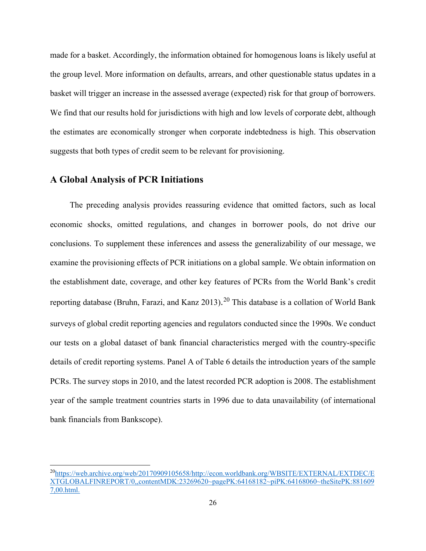made for a basket. Accordingly, the information obtained for homogenous loans is likely useful at the group level. More information on defaults, arrears, and other questionable status updates in a basket will trigger an increase in the assessed average (expected) risk for that group of borrowers. We find that our results hold for jurisdictions with high and low levels of corporate debt, although the estimates are economically stronger when corporate indebtedness is high. This observation suggests that both types of credit seem to be relevant for provisioning.

# **A Global Analysis of PCR Initiations**

The preceding analysis provides reassuring evidence that omitted factors, such as local economic shocks, omitted regulations, and changes in borrower pools, do not drive our conclusions. To supplement these inferences and assess the generalizability of our message, we examine the provisioning effects of PCR initiations on a global sample. We obtain information on the establishment date, coverage, and other key features of PCRs from the World Bank's credit reporting database (Bruhn, Farazi, and Kanz [20](#page-27-0)13).<sup>20</sup> This database is a collation of World Bank surveys of global credit reporting agencies and regulators conducted since the 1990s. We conduct our tests on a global dataset of bank financial characteristics merged with the country-specific details of credit reporting systems. Panel A of Table 6 details the introduction years of the sample PCRs. The survey stops in 2010, and the latest recorded PCR adoption is 2008. The establishment year of the sample treatment countries starts in 1996 due to data unavailability (of international bank financials from Bankscope).

<span id="page-27-0"></span> <sup>20</sup>https://web.archive.org/web/20170909105658/http://econ.worldbank.org/WBSITE/EXTERNAL/EXTDEC/E XTGLOBALFINREPORT/0,,contentMDK:23269620~pagePK:64168182~piPK:64168060~theSitePK:881609 7,00.html.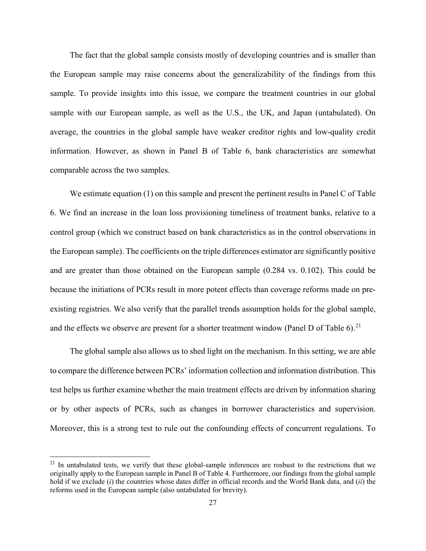The fact that the global sample consists mostly of developing countries and is smaller than the European sample may raise concerns about the generalizability of the findings from this sample. To provide insights into this issue, we compare the treatment countries in our global sample with our European sample, as well as the U.S., the UK, and Japan (untabulated). On average, the countries in the global sample have weaker creditor rights and low-quality credit information. However, as shown in Panel B of Table 6, bank characteristics are somewhat comparable across the two samples.

We estimate equation (1) on this sample and present the pertinent results in Panel C of Table 6. We find an increase in the loan loss provisioning timeliness of treatment banks, relative to a control group (which we construct based on bank characteristics as in the control observations in the European sample). The coefficients on the triple differences estimator are significantly positive and are greater than those obtained on the European sample (0.284 vs. 0.102). This could be because the initiations of PCRs result in more potent effects than coverage reforms made on preexisting registries. We also verify that the parallel trends assumption holds for the global sample, and the effects we observe are present for a shorter treatment window (Panel D of Table 6).<sup>[21](#page-28-0)</sup>

The global sample also allows us to shed light on the mechanism. In this setting, we are able to compare the difference between PCRs' information collection and information distribution. This test helps us further examine whether the main treatment effects are driven by information sharing or by other aspects of PCRs, such as changes in borrower characteristics and supervision. Moreover, this is a strong test to rule out the confounding effects of concurrent regulations. To

<span id="page-28-0"></span> $21$  In untabulated tests, we verify that these global-sample inferences are rosbust to the restrictions that we originally apply to the European sample in Panel B of Table 4. Furthermore, our findings from the global sample hold if we exclude (*i*) the countries whose dates differ in official records and the World Bank data, and (*ii*) the reforms used in the European sample (also untabulated for brevity).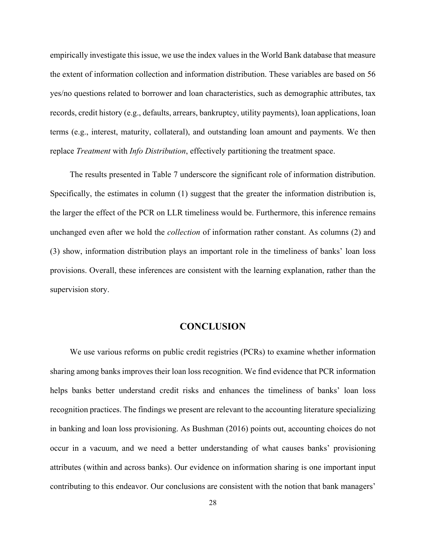empirically investigate this issue, we use the index values in the World Bank database that measure the extent of information collection and information distribution. These variables are based on 56 yes/no questions related to borrower and loan characteristics, such as demographic attributes, tax records, credit history (e.g., defaults, arrears, bankruptcy, utility payments), loan applications, loan terms (e.g., interest, maturity, collateral), and outstanding loan amount and payments. We then replace *Treatment* with *Info Distribution*, effectively partitioning the treatment space.

The results presented in Table 7 underscore the significant role of information distribution. Specifically, the estimates in column (1) suggest that the greater the information distribution is, the larger the effect of the PCR on LLR timeliness would be. Furthermore, this inference remains unchanged even after we hold the *collection* of information rather constant. As columns (2) and (3) show, information distribution plays an important role in the timeliness of banks' loan loss provisions. Overall, these inferences are consistent with the learning explanation, rather than the supervision story.

## **CONCLUSION**

We use various reforms on public credit registries (PCRs) to examine whether information sharing among banks improves their loan loss recognition. We find evidence that PCR information helps banks better understand credit risks and enhances the timeliness of banks' loan loss recognition practices. The findings we present are relevant to the accounting literature specializing in banking and loan loss provisioning. As Bushman (2016) points out, accounting choices do not occur in a vacuum, and we need a better understanding of what causes banks' provisioning attributes (within and across banks). Our evidence on information sharing is one important input contributing to this endeavor. Our conclusions are consistent with the notion that bank managers'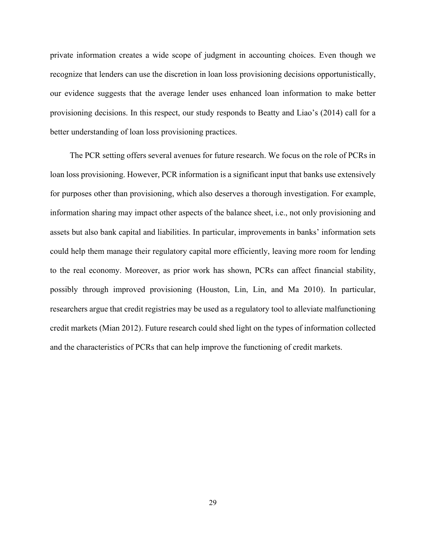private information creates a wide scope of judgment in accounting choices. Even though we recognize that lenders can use the discretion in loan loss provisioning decisions opportunistically, our evidence suggests that the average lender uses enhanced loan information to make better provisioning decisions. In this respect, our study responds to Beatty and Liao's (2014) call for a better understanding of loan loss provisioning practices.

The PCR setting offers several avenues for future research. We focus on the role of PCRs in loan loss provisioning. However, PCR information is a significant input that banks use extensively for purposes other than provisioning, which also deserves a thorough investigation. For example, information sharing may impact other aspects of the balance sheet, i.e., not only provisioning and assets but also bank capital and liabilities. In particular, improvements in banks' information sets could help them manage their regulatory capital more efficiently, leaving more room for lending to the real economy. Moreover, as prior work has shown, PCRs can affect financial stability, possibly through improved provisioning (Houston, Lin, Lin, and Ma 2010). In particular, researchers argue that credit registries may be used as a regulatory tool to alleviate malfunctioning credit markets (Mian 2012). Future research could shed light on the types of information collected and the characteristics of PCRs that can help improve the functioning of credit markets.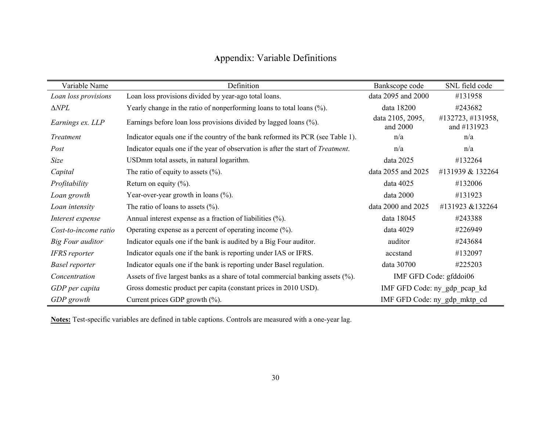# **A**ppendix: Variable Definitions

| Variable Name         | Definition                                                                               | Bankscope code               | SNL field code                   |
|-----------------------|------------------------------------------------------------------------------------------|------------------------------|----------------------------------|
| Loan loss provisions  | Loan loss provisions divided by year-ago total loans.                                    | data 2095 and 2000           | #131958                          |
| $\Delta NPL$          | Yearly change in the ratio of nonperforming loans to total loans (%).                    | data 18200                   | #243682                          |
| Earnings ex. LLP      | Earnings before loan loss provisions divided by lagged loans (%).                        | data 2105, 2095,<br>and 2000 | #132723, #131958,<br>and #131923 |
| Treatment             | Indicator equals one if the country of the bank reformed its PCR (see Table 1).          | n/a                          | n/a                              |
| Post                  | Indicator equals one if the year of observation is after the start of <i>Treatment</i> . | n/a                          | n/a                              |
| Size                  | USDmm total assets, in natural logarithm.                                                | data 2025                    | #132264                          |
| Capital               | The ratio of equity to assets $(\%).$                                                    | data 2055 and 2025           | #131939 & 132264                 |
| Profitability         | Return on equity $(\%).$                                                                 | data 4025                    | #132006                          |
| Loan growth           | Year-over-year growth in loans (%).                                                      | data 2000                    | #131923                          |
| Loan intensity        | The ratio of loans to assets $(\%).$                                                     | data 2000 and 2025           | #131923 &132264                  |
| Interest expense      | Annual interest expense as a fraction of liabilities (%).                                | data 18045                   | #243388                          |
| Cost-to-income ratio  | Operating expense as a percent of operating income $(\%).$                               | data 4029                    | #226949                          |
| Big Four auditor      | Indicator equals one if the bank is audited by a Big Four auditor.                       | auditor                      | #243684                          |
| <b>IFRS</b> reporter  | Indicator equals one if the bank is reporting under IAS or IFRS.                         | accstand                     | #132097                          |
| <b>Basel reporter</b> | Indicator equals one if the bank is reporting under Basel regulation.                    | data 30700                   | #225203                          |
| Concentration         | Assets of five largest banks as a share of total commercial banking assets (%).          |                              | IMF GFD Code: gfddoi06           |
| GDP per capita        | Gross domestic product per capita (constant prices in 2010 USD).                         | IMF GFD Code: ny_gdp_pcap_kd |                                  |
| GDP growth            | Current prices GDP growth $(\%).$                                                        | IMF GFD Code: ny_gdp_mktp_cd |                                  |

**Notes:** Test-specific variables are defined in table captions. Controls are measured with a one-year lag.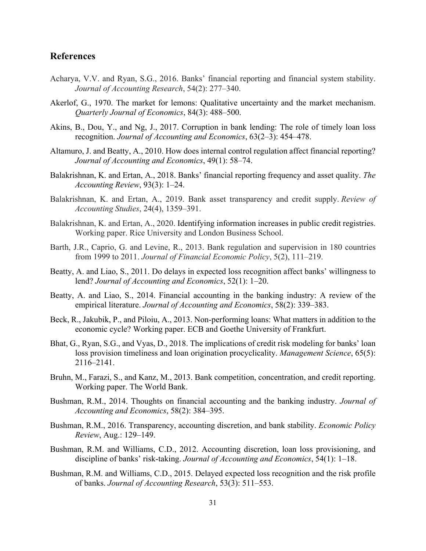# **References**

- Acharya, V.V. and Ryan, S.G., 2016. Banks' financial reporting and financial system stability. *Journal of Accounting Research*, 54(2): 277–340.
- Akerlof, G., 1970. The market for lemons: Qualitative uncertainty and the market mechanism. *Quarterly Journal of Economics*, 84(3): 488–500.
- Akins, B., Dou, Y., and Ng, J., 2017. Corruption in bank lending: The role of timely loan loss recognition. *Journal of Accounting and Economics*, 63(2–3): 454–478.
- Altamuro, J. and Beatty, A., 2010. How does internal control regulation affect financial reporting? *Journal of Accounting and Economics*, 49(1): 58–74.
- Balakrishnan, K. and Ertan, A., 2018. Banks' financial reporting frequency and asset quality. *The Accounting Review*, 93(3): 1–24.
- Balakrishnan, K. and Ertan, A., 2019. Bank asset transparency and credit supply. *Review of Accounting Studies*, 24(4), 1359–391.
- Balakrishnan, K. and Ertan, A., 2020. Identifying information increases in public credit registries. Working paper. Rice University and London Business School.
- Barth, J.R., Caprio, G. and Levine, R., 2013. Bank regulation and supervision in 180 countries from 1999 to 2011. *Journal of Financial Economic Policy*, 5(2), 111–219.
- Beatty, A. and Liao, S., 2011. Do delays in expected loss recognition affect banks' willingness to lend? *Journal of Accounting and Economics*, 52(1): 1–20.
- Beatty, A. and Liao, S., 2014. Financial accounting in the banking industry: A review of the empirical literature. *Journal of Accounting and Economics*, 58(2): 339–383.
- Beck, R., Jakubik, P., and Piloiu, A., 2013. Non-performing loans: What matters in addition to the economic cycle? Working paper. ECB and Goethe University of Frankfurt.
- Bhat, G., Ryan, S.G., and Vyas, D., 2018. The implications of credit risk modeling for banks' loan loss provision timeliness and loan origination procyclicality. *Management Science*, 65(5): 2116–2141.
- Bruhn, M., Farazi, S., and Kanz, M., 2013. Bank competition, concentration, and credit reporting. Working paper. The World Bank.
- Bushman, R.M., 2014. Thoughts on financial accounting and the banking industry. *Journal of Accounting and Economics*, 58(2): 384–395.
- Bushman, R.M., 2016. Transparency, accounting discretion, and bank stability. *Economic Policy Review*, Aug.: 129–149.
- Bushman, R.M. and Williams, C.D., 2012. Accounting discretion, loan loss provisioning, and discipline of banks' risk-taking. *Journal of Accounting and Economics*, 54(1): 1–18.
- Bushman, R.M. and Williams, C.D., 2015. Delayed expected loss recognition and the risk profile of banks. *Journal of Accounting Research*, 53(3): 511–553.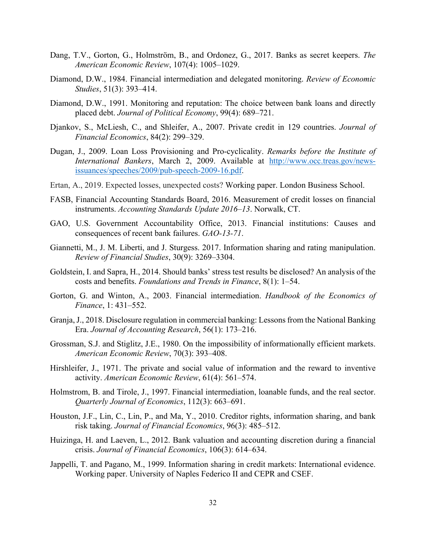- Dang, T.V., Gorton, G., Holmström, B., and Ordonez, G., 2017. Banks as secret keepers. *The American Economic Review*, 107(4): 1005–1029.
- Diamond, D.W., 1984. Financial intermediation and delegated monitoring. *Review of Economic Studies*, 51(3): 393–414.
- Diamond, D.W., 1991. Monitoring and reputation: The choice between bank loans and directly placed debt. *Journal of Political Economy*, 99(4): 689–721.
- Djankov, S., McLiesh, C., and Shleifer, A., 2007. Private credit in 129 countries. *Journal of Financial Economics*, 84(2): 299–329.
- Dugan, J., 2009. Loan Loss Provisioning and Pro-cyclicality. *Remarks before the Institute of International Bankers*, March 2, 2009. Available at [http://www.occ.treas.gov/news](http://www.occ.treas.gov/news-issuances/speeches/2009/pub-speech-2009-16.pdf)issuan[ces/speeches/2009/pub](http://www.occ.treas.gov/news-issuances/speeches/2009/pub-speech-2009-16.pdf)-speech-2009-16.pdf.
- Ertan, A., 2019. Expected losses, unexpected costs? Working paper. London Business School.
- FASB, Financial Accounting Standards Board, 2016. Measurement of credit losses on financial instruments. *Accounting Standards Update 2016–13*. Norwalk, CT.
- GAO, U.S. Government Accountability Office, 2013. Financial institutions: Causes and consequences of recent bank failures. *GAO-13-71*.
- Giannetti, M., J. M. Liberti, and J. Sturgess. 2017. Information sharing and rating manipulation. *Review of Financial Studies*, 30(9): 3269–3304.
- Goldstein, I. and Sapra, H., 2014. Should banks' stress test results be disclosed? An analysis of the costs and benefits. *Foundations and Trends in Finance*, 8(1): 1–54.
- Gorton, G. and Winton, A., 2003. Financial intermediation. *Handbook of the Economics of Finance*, 1: 431–552.
- Granja, J., 2018. Disclosure regulation in commercial banking: Lessons from the National Banking Era. *Journal of Accounting Research*, 56(1): 173–216.
- Grossman, S.J. and Stiglitz, J.E., 1980. On the impossibility of informationally efficient markets. *American Economic Review*, 70(3): 393–408.
- Hirshleifer, J., 1971. The private and social value of information and the reward to inventive activity. *American Economic Review*, 61(4): 561–574.
- Holmstrom, B. and Tirole, J., 1997. Financial intermediation, loanable funds, and the real sector. *Quarterly Journal of Economics*, 112(3): 663–691.
- Houston, J.F., Lin, C., Lin, P., and Ma, Y., 2010. Creditor rights, information sharing, and bank risk taking. *Journal of Financial Economics*, 96(3): 485–512.
- Huizinga, H. and Laeven, L., 2012. Bank valuation and accounting discretion during a financial crisis. *Journal of Financial Economics*, 106(3): 614–634.
- Jappelli, T. and Pagano, M., 1999. Information sharing in credit markets: International evidence. Working paper. University of Naples Federico II and CEPR and CSEF.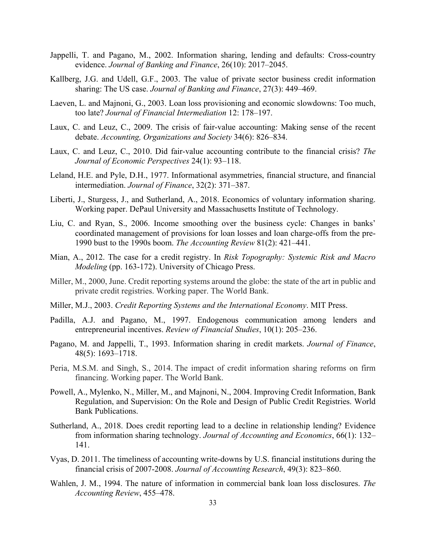- Jappelli, T. and Pagano, M., 2002. Information sharing, lending and defaults: Cross-country evidence. *Journal of Banking and Finance*, 26(10): 2017–2045.
- Kallberg, J.G. and Udell, G.F., 2003. The value of private sector business credit information sharing: The US case. *Journal of Banking and Finance*, 27(3): 449–469.
- Laeven, L. and Majnoni, G., 2003. Loan loss provisioning and economic slowdowns: Too much, too late? *Journal of Financial Intermediation* 12: 178–197.
- Laux, C. and Leuz, C., 2009. The crisis of fair-value accounting: Making sense of the recent debate. *Accounting, Organizations and Society* 34(6): 826–834.
- Laux, C. and Leuz, C., 2010. Did fair-value accounting contribute to the financial crisis? *The Journal of Economic Perspectives* 24(1): 93–118.
- Leland, H.E. and Pyle, D.H., 1977. Informational asymmetries, financial structure, and financial intermediation. *Journal of Finance*, 32(2): 371–387.
- Liberti, J., Sturgess, J., and Sutherland, A., 2018. Economics of voluntary information sharing. Working paper. DePaul University and Massachusetts Institute of Technology.
- Liu, C. and Ryan, S., 2006. Income smoothing over the business cycle: Changes in banks' coordinated management of provisions for loan losses and loan charge-offs from the pre-1990 bust to the 1990s boom. *The Accounting Review* 81(2): 421–441.
- Mian, A., 2012. The case for a credit registry. In *Risk Topography: Systemic Risk and Macro Modeling* (pp. 163-172). University of Chicago Press.
- Miller, M., 2000, June. Credit reporting systems around the globe: the state of the art in public and private credit registries. Working paper. The World Bank.
- Miller, M.J., 2003. *Credit Reporting Systems and the International Economy*. MIT Press.
- Padilla, A.J. and Pagano, M., 1997. Endogenous communication among lenders and entrepreneurial incentives. *Review of Financial Studies*, 10(1): 205–236.
- Pagano, M. and Jappelli, T., 1993. Information sharing in credit markets. *Journal of Finance*, 48(5): 1693–1718.
- Peria, M.S.M. and Singh, S., 2014. The impact of credit information sharing reforms on firm financing. Working paper. The World Bank.
- Powell, A., Mylenko, N., Miller, M., and Majnoni, N., 2004. Improving Credit Information, Bank Regulation, and Supervision: On the Role and Design of Public Credit Registries. World Bank Publications.
- Sutherland, A., 2018. Does credit reporting lead to a decline in relationship lending? Evidence from information sharing technology. *Journal of Accounting and Economics*, 66(1): 132– 141.
- Vyas, D. 2011. The timeliness of accounting write-downs by U.S. financial institutions during the financial crisis of 2007-2008. *Journal of Accounting Research*, 49(3): 823–860.
- Wahlen, J. M., 1994. The nature of information in commercial bank loan loss disclosures. *The Accounting Review*, 455–478.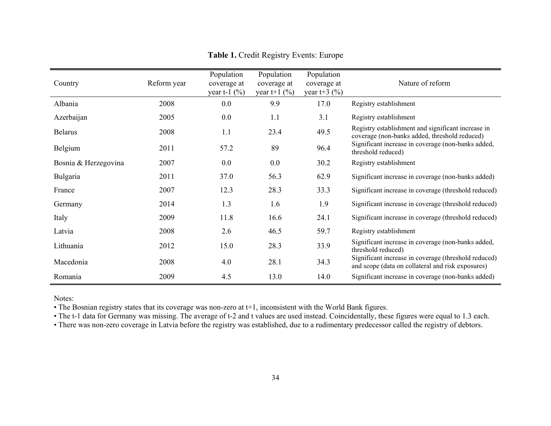| Country              | Reform year | Population<br>coverage at<br>year t-1 $(\% )$ | Population<br>coverage at<br>year t+1 $(\% )$ | Population<br>coverage at<br>year t+3 $(\% )$ | Nature of reform                                                                                          |
|----------------------|-------------|-----------------------------------------------|-----------------------------------------------|-----------------------------------------------|-----------------------------------------------------------------------------------------------------------|
| Albania              | 2008        | 0.0                                           | 9.9                                           | 17.0                                          | Registry establishment                                                                                    |
| Azerbaijan           | 2005        | 0.0                                           | 1.1                                           | 3.1                                           | Registry establishment                                                                                    |
| <b>Belarus</b>       | 2008        | 1.1                                           | 23.4                                          | 49.5                                          | Registry establishment and significant increase in<br>coverage (non-banks added, threshold reduced)       |
| Belgium              | 2011        | 57.2                                          | 89                                            | 96.4                                          | Significant increase in coverage (non-banks added,<br>threshold reduced)                                  |
| Bosnia & Herzegovina | 2007        | 0.0                                           | 0.0                                           | 30.2                                          | Registry establishment                                                                                    |
| Bulgaria             | 2011        | 37.0                                          | 56.3                                          | 62.9                                          | Significant increase in coverage (non-banks added)                                                        |
| France               | 2007        | 12.3                                          | 28.3                                          | 33.3                                          | Significant increase in coverage (threshold reduced)                                                      |
| Germany              | 2014        | 1.3                                           | 1.6                                           | 1.9                                           | Significant increase in coverage (threshold reduced)                                                      |
| Italy                | 2009        | 11.8                                          | 16.6                                          | 24.1                                          | Significant increase in coverage (threshold reduced)                                                      |
| Latvia               | 2008        | 2.6                                           | 46.5                                          | 59.7                                          | Registry establishment                                                                                    |
| Lithuania            | 2012        | 15.0                                          | 28.3                                          | 33.9                                          | Significant increase in coverage (non-banks added,<br>threshold reduced)                                  |
| Macedonia            | 2008        | 4.0                                           | 28.1                                          | 34.3                                          | Significant increase in coverage (threshold reduced)<br>and scope (data on collateral and risk exposures) |
| Romania              | 2009        | 4.5                                           | 13.0                                          | 14.0                                          | Significant increase in coverage (non-banks added)                                                        |

## **Table 1.** Credit Registry Events: Europe

Notes:

• The Bosnian registry states that its coverage was non-zero at t+1, inconsistent with the World Bank figures.

• The t-1 data for Germany was missing. The average of t-2 and t values are used instead. Coincidentally, these figures were equal to 1.3 each.

• There was non-zero coverage in Latvia before the registry was established, due to a rudimentary predecessor called the registry of debtors.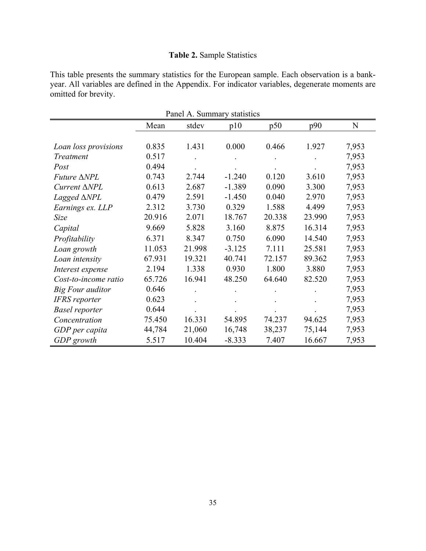# **Table 2.** Sample Statistics

This table presents the summary statistics for the European sample. Each observation is a bankyear. All variables are defined in the Appendix. For indicator variables, degenerate moments are omitted for brevity.

| Panel A. Summary statistics |        |        |          |        |        |       |  |  |
|-----------------------------|--------|--------|----------|--------|--------|-------|--|--|
|                             | Mean   | stdev  | p10      | p50    | p90    | N     |  |  |
|                             |        |        |          |        |        |       |  |  |
| Loan loss provisions        | 0.835  | 1.431  | 0.000    | 0.466  | 1.927  | 7,953 |  |  |
| Treatment                   | 0.517  |        |          |        |        | 7,953 |  |  |
| Post                        | 0.494  |        |          |        |        | 7,953 |  |  |
| $Future \triangle NPL$      | 0.743  | 2.744  | $-1.240$ | 0.120  | 3.610  | 7,953 |  |  |
| Current ∆NPL                | 0.613  | 2.687  | $-1.389$ | 0.090  | 3.300  | 7,953 |  |  |
| Lagged $\triangle NPL$      | 0.479  | 2.591  | $-1.450$ | 0.040  | 2.970  | 7,953 |  |  |
| Earnings ex. LLP            | 2.312  | 3.730  | 0.329    | 1.588  | 4.499  | 7,953 |  |  |
| Size                        | 20.916 | 2.071  | 18.767   | 20.338 | 23.990 | 7,953 |  |  |
| Capital                     | 9.669  | 5.828  | 3.160    | 8.875  | 16.314 | 7,953 |  |  |
| Profitability               | 6.371  | 8.347  | 0.750    | 6.090  | 14.540 | 7,953 |  |  |
| Loan growth                 | 11.053 | 21.998 | $-3.125$ | 7.111  | 25.581 | 7,953 |  |  |
| Loan intensity              | 67.931 | 19.321 | 40.741   | 72.157 | 89.362 | 7,953 |  |  |
| Interest expense            | 2.194  | 1.338  | 0.930    | 1.800  | 3.880  | 7,953 |  |  |
| Cost-to-income ratio        | 65.726 | 16.941 | 48.250   | 64.640 | 82.520 | 7,953 |  |  |
| Big Four auditor            | 0.646  |        |          |        |        | 7,953 |  |  |
| <b>IFRS</b> reporter        | 0.623  |        |          |        |        | 7,953 |  |  |
| <b>Basel reporter</b>       | 0.644  |        |          |        |        | 7,953 |  |  |
| Concentration               | 75.450 | 16.331 | 54.895   | 74.237 | 94.625 | 7,953 |  |  |
| GDP per capita              | 44,784 | 21,060 | 16,748   | 38,237 | 75,144 | 7,953 |  |  |
| GDP growth                  | 5.517  | 10.404 | $-8.333$ | 7.407  | 16.667 | 7,953 |  |  |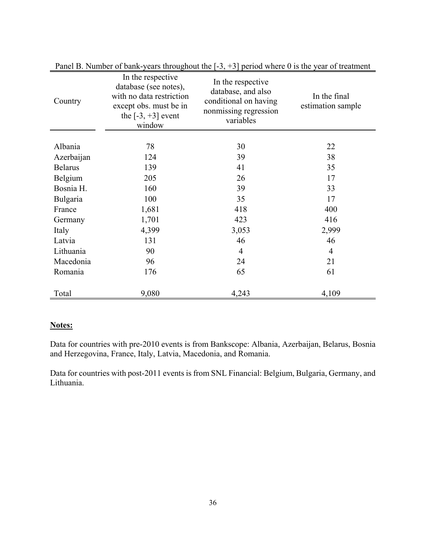| Country        | In the respective<br>database (see notes),<br>with no data restriction<br>except obs. must be in<br>the $[-3, +3]$ event<br>window | In the respective<br>database, and also<br>conditional on having<br>nonmissing regression<br>variables | In the final<br>estimation sample |
|----------------|------------------------------------------------------------------------------------------------------------------------------------|--------------------------------------------------------------------------------------------------------|-----------------------------------|
| Albania        | 78                                                                                                                                 | 30                                                                                                     | 22                                |
| Azerbaijan     | 124                                                                                                                                | 39                                                                                                     | 38                                |
| <b>Belarus</b> | 139                                                                                                                                | 41                                                                                                     | 35                                |
| Belgium        | 205                                                                                                                                | 26                                                                                                     | 17                                |
| Bosnia H.      | 160                                                                                                                                | 39                                                                                                     | 33                                |
| Bulgaria       | 100                                                                                                                                | 35                                                                                                     | 17                                |
| France         | 1,681                                                                                                                              | 418                                                                                                    | 400                               |
| Germany        | 1,701                                                                                                                              | 423                                                                                                    | 416                               |
| Italy          | 4,399                                                                                                                              | 3,053                                                                                                  | 2,999                             |
| Latvia         | 131                                                                                                                                | 46                                                                                                     | 46                                |
| Lithuania      | 90                                                                                                                                 | $\overline{4}$                                                                                         | $\overline{4}$                    |
| Macedonia      | 96                                                                                                                                 | 24                                                                                                     | 21                                |
| Romania        | 176                                                                                                                                | 65                                                                                                     | 61                                |
| Total          | 9,080                                                                                                                              | 4,243                                                                                                  | 4,109                             |

Panel B. Number of bank-years throughout the  $[-3, +3]$  period where 0 is the year of treatment

# **Notes:**

Data for countries with pre-2010 events is from Bankscope: Albania, Azerbaijan, Belarus, Bosnia and Herzegovina, France, Italy, Latvia, Macedonia, and Romania.

Data for countries with post-2011 events is from SNL Financial: Belgium, Bulgaria, Germany, and Lithuania.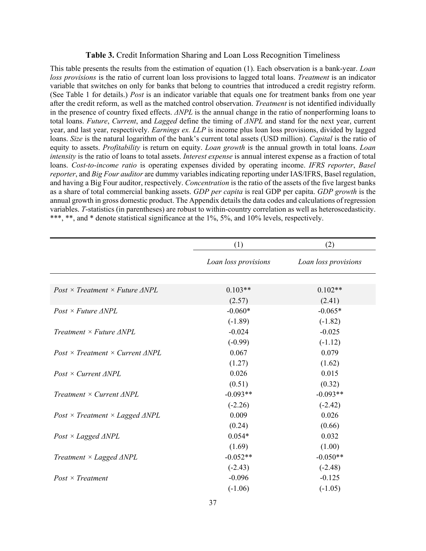#### **Table 3.** Credit Information Sharing and Loan Loss Recognition Timeliness

This table presents the results from the estimation of equation (1). Each observation is a bank-year. *Loan loss provisions* is the ratio of current loan loss provisions to lagged total loans. *Treatment* is an indicator variable that switches on only for banks that belong to countries that introduced a credit registry reform. (See Table 1 for details.) *Post* is an indicator variable that equals one for treatment banks from one year after the credit reform, as well as the matched control observation. *Treatment* is not identified individually in the presence of country fixed effects. *ΔNPL* is the annual change in the ratio of nonperforming loans to total loans. *Future*, *Current*, and *Lagged* define the timing of *ΔNPL* and stand for the next year, current year, and last year, respectively. *Earnings ex. LLP* is income plus loan loss provisions, divided by lagged loans. *Size* is the natural logarithm of the bank's current total assets (USD million). *Capital* is the ratio of equity to assets. *Profitability* is return on equity. *Loan growth* is the annual growth in total loans. *Loan intensity* is the ratio of loans to total assets. *Interest expense* is annual interest expense as a fraction of total loans. *Cost-to-income ratio* is operating expenses divided by operating income. *IFRS reporter*, *Basel reporter*, and *Big Four auditor* are dummy variables indicating reporting under IAS/IFRS, Basel regulation, and having a Big Four auditor, respectively. *Concentration* is the ratio of the assets of the five largest banks as a share of total commercial banking assets. *GDP per capita* is real GDP per capita. *GDP growth* is the annual growth in gross domestic product. The Appendix details the data codes and calculations of regression variables. *T*-statistics (in parentheses) are robust to within-country correlation as well as heteroscedasticity. \*\*\*, \*\*, and \* denote statistical significance at the 1%, 5%, and 10% levels, respectively.

|                                                     | (1)                  | (2)                  |
|-----------------------------------------------------|----------------------|----------------------|
|                                                     | Loan loss provisions | Loan loss provisions |
|                                                     |                      |                      |
| $Post \times Treatment \times Future \ \Delta NPL$  | $0.103**$            | $0.102**$            |
|                                                     | (2.57)               | (2.41)               |
| $Post \times Future \ \Delta NPL$                   | $-0.060*$            | $-0.065*$            |
|                                                     | $(-1.89)$            | $(-1.82)$            |
| Treatment $\times$ Future ANPL                      | $-0.024$             | $-0.025$             |
|                                                     | $(-0.99)$            | $(-1.12)$            |
| $Post \times Treatment \times Current \ \Delta NPL$ | 0.067                | 0.079                |
|                                                     | (1.27)               | (1.62)               |
| $Post \times Current \ \Delta NPL$                  | 0.026                | 0.015                |
|                                                     | (0.51)               | (0.32)               |
| Treatment $\times$ Current $\triangle NPL$          | $-0.093**$           | $-0.093**$           |
|                                                     | $(-2.26)$            | $(-2.42)$            |
| $Post \times Treatment \times Laged \ \Delta NPL$   | 0.009                | 0.026                |
|                                                     | (0.24)               | (0.66)               |
| $Post \times Laged \triangle NPL$                   | $0.054*$             | 0.032                |
|                                                     | (1.69)               | (1.00)               |
| Treatment $\times$ Lagged $\triangle NPL$           | $-0.052**$           | $-0.050**$           |
|                                                     | $(-2.43)$            | $(-2.48)$            |
| $Post \times Treatment$                             | $-0.096$             | $-0.125$             |
|                                                     | $(-1.06)$            | $(-1.05)$            |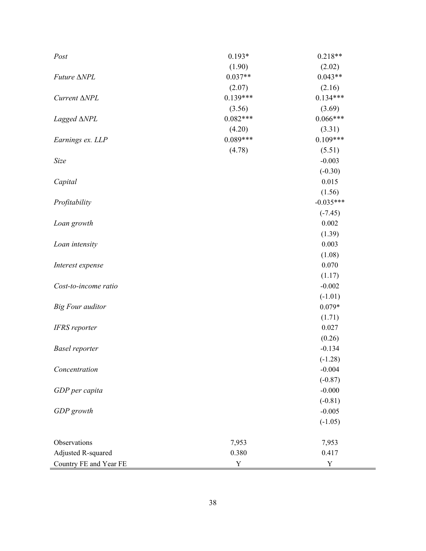| Post                    | $0.193*$   | $0.218**$   |
|-------------------------|------------|-------------|
|                         | (1.90)     | (2.02)      |
| <i>Future</i> ∆NPL      | $0.037**$  | $0.043**$   |
|                         | (2.07)     | (2.16)      |
| Current $\triangle NPL$ | $0.139***$ | $0.134***$  |
|                         | (3.56)     | (3.69)      |
| Lagged $\triangle NPL$  | $0.082***$ | $0.066***$  |
|                         | (4.20)     | (3.31)      |
| Earnings ex. LLP        | $0.089***$ | $0.109***$  |
|                         | (4.78)     | (5.51)      |
| Size                    |            | $-0.003$    |
|                         |            | $(-0.30)$   |
| Capital                 |            | 0.015       |
|                         |            | (1.56)      |
| Profitability           |            | $-0.035***$ |
|                         |            | $(-7.45)$   |
| Loan growth             |            | 0.002       |
|                         |            | (1.39)      |
| Loan intensity          |            | 0.003       |
|                         |            | (1.08)      |
| Interest expense        |            | 0.070       |
|                         |            | (1.17)      |
| Cost-to-income ratio    |            | $-0.002$    |
|                         |            | $(-1.01)$   |
| <b>Big Four auditor</b> |            | $0.079*$    |
|                         |            | (1.71)      |
| <b>IFRS</b> reporter    |            | 0.027       |
|                         |            | (0.26)      |
| <b>Basel reporter</b>   |            | $-0.134$    |
|                         |            | $(-1.28)$   |
| Concentration           |            | $-0.004$    |
|                         |            | $(-0.87)$   |
| GDP per capita          |            | $-0.000$    |
|                         |            | $(-0.81)$   |
| GDP growth              |            | $-0.005$    |
|                         |            | $(-1.05)$   |
| Observations            | 7,953      | 7,953       |
| Adjusted R-squared      | 0.380      | 0.417       |
| Country FE and Year FE  | Y          | Y           |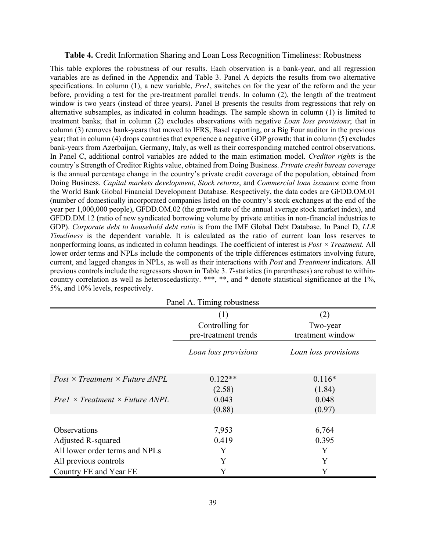#### **Table 4.** Credit Information Sharing and Loan Loss Recognition Timeliness: Robustness

This table explores the robustness of our results. Each observation is a bank-year, and all regression variables are as defined in the Appendix and Table 3. Panel A depicts the results from two alternative specifications. In column (1), a new variable, *Pre1*, switches on for the year of the reform and the year before, providing a test for the pre-treatment parallel trends. In column (2), the length of the treatment window is two years (instead of three years). Panel B presents the results from regressions that rely on alternative subsamples, as indicated in column headings. The sample shown in column (1) is limited to treatment banks; that in column (2) excludes observations with negative *Loan loss provisions*; that in column (3) removes bank-years that moved to IFRS, Basel reporting, or a Big Four auditor in the previous year; that in column (4) drops countries that experience a negative GDP growth; that in column (5) excludes bank-years from Azerbaijan, Germany, Italy, as well as their corresponding matched control observations. In Panel C, additional control variables are added to the main estimation model. *Creditor rights* is the country's Strength of Creditor Rights value, obtained from Doing Business. *Private credit bureau coverage* is the annual percentage change in the country's private credit coverage of the population, obtained from Doing Business. *Capital markets development*, *Stock returns*, and *Commercial loan issuance* come from the World Bank Global Financial Development Database. Respectively, the data codes are GFDD.OM.01 (number of domestically incorporated companies listed on the country's stock exchanges at the end of the year per 1,000,000 people), GFDD.OM.02 (the growth rate of the annual average stock market index), and GFDD.DM.12 (ratio of new syndicated borrowing volume by private entities in non-financial industries to GDP). *Corporate debt to household debt ratio* is from the IMF Global Debt Database. In Panel D, *LLR Timeliness* is the dependent variable. It is calculated as the ratio of current loan loss reserves to nonperforming loans, as indicated in column headings. The coefficient of interest is *Post × Treatment.* All lower order terms and NPLs include the components of the triple differences estimators involving future, current, and lagged changes in NPLs, as well as their interactions with *Post* and *Treatment* indicators. All previous controls include the regressors shown in Table 3. *T*-statistics (in parentheses) are robust to withincountry correlation as well as heteroscedasticity. \*\*\*, \*\*, and \* denote statistical significance at the 1%, 5%, and 10% levels, respectively.

| Panel A. Timing robustness                         |                                         |                              |  |  |  |  |  |
|----------------------------------------------------|-----------------------------------------|------------------------------|--|--|--|--|--|
|                                                    |                                         | (2)                          |  |  |  |  |  |
|                                                    | Controlling for<br>pre-treatment trends | Two-year<br>treatment window |  |  |  |  |  |
|                                                    | Loan loss provisions                    | Loan loss provisions         |  |  |  |  |  |
|                                                    |                                         |                              |  |  |  |  |  |
| $Post \times Treatment \times Future \ \Delta NPL$ | $0.122**$<br>(2.58)                     | $0.116*$<br>(1.84)           |  |  |  |  |  |
| $Pre1 \times Treatment \times Future \ \Delta NPL$ | 0.043                                   | 0.048                        |  |  |  |  |  |
|                                                    | (0.88)                                  | (0.97)                       |  |  |  |  |  |
| Observations                                       | 7,953                                   | 6,764                        |  |  |  |  |  |
| Adjusted R-squared                                 | 0.419                                   | 0.395                        |  |  |  |  |  |
| All lower order terms and NPLs                     | Y                                       | Y                            |  |  |  |  |  |
| All previous controls                              | Y                                       | Y                            |  |  |  |  |  |
| Country FE and Year FE                             | Y                                       | Y                            |  |  |  |  |  |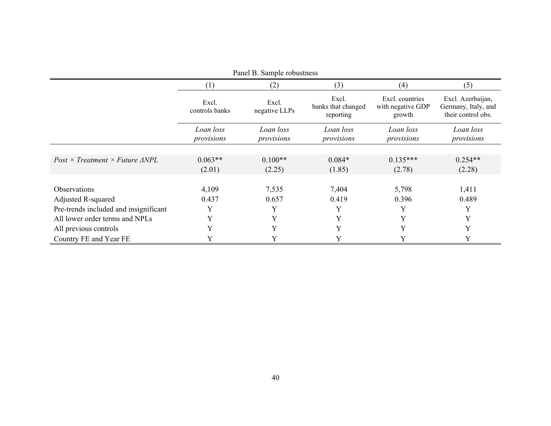| Panel B. Sample robustness                    |                         |                         |                                          |                                                |                                                                |  |  |
|-----------------------------------------------|-------------------------|-------------------------|------------------------------------------|------------------------------------------------|----------------------------------------------------------------|--|--|
|                                               | (1)                     | (2)                     | (3)                                      | (4)                                            | (5)                                                            |  |  |
|                                               | Excl.<br>controls banks | Excl.<br>negative LLPs  | Excl.<br>banks that changed<br>reporting | Excl. countries<br>with negative GDP<br>growth | Excl. Azerbaijan,<br>Germany, Italy, and<br>their control obs. |  |  |
|                                               | Loan loss<br>provisions | Loan loss<br>provisions | Loan loss<br>provisions                  | Loan loss<br>provisions                        | Loan loss<br>provisions                                        |  |  |
|                                               |                         |                         |                                          |                                                |                                                                |  |  |
| $Post \times Treatment \times Future \; ANPL$ | $0.063**$               | $0.100**$               | $0.084*$                                 | $0.135***$                                     | $0.254**$                                                      |  |  |
|                                               | (2.01)                  | (2.25)                  | (1.85)                                   | (2.78)                                         | (2.28)                                                         |  |  |
|                                               |                         |                         |                                          |                                                |                                                                |  |  |
| <b>Observations</b>                           | 4,109                   | 7,535                   | 7,404                                    | 5,798                                          | 1,411                                                          |  |  |
| Adjusted R-squared                            | 0.437                   | 0.657                   | 0.419                                    | 0.396                                          | 0.489                                                          |  |  |
| Pre-trends included and insignificant         | Y                       |                         | Y                                        | Y                                              | Y                                                              |  |  |
| All lower order terms and NPLs                | Y                       | Y                       | Y                                        | Y                                              | Y                                                              |  |  |
| All previous controls                         | Y                       | Y                       | Y                                        | Y                                              | Y                                                              |  |  |
| Country FE and Year FE                        | Y                       |                         |                                          | Y                                              | Y                                                              |  |  |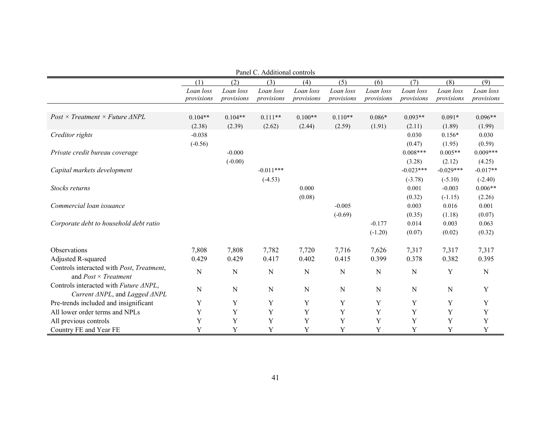| Panel C. Additional controls                                             |                         |                         |                         |                         |                         |                         |                         |                         |                         |
|--------------------------------------------------------------------------|-------------------------|-------------------------|-------------------------|-------------------------|-------------------------|-------------------------|-------------------------|-------------------------|-------------------------|
|                                                                          | (1)                     | (2)                     | (3)                     | (4)                     | (5)                     | (6)                     | (7)                     | (8)                     | (9)                     |
|                                                                          | Loan loss<br>provisions | Loan loss<br>provisions | Loan loss<br>provisions | Loan loss<br>provisions | Loan loss<br>provisions | Loan loss<br>provisions | Loan loss<br>provisions | Loan loss<br>provisions | Loan loss<br>provisions |
|                                                                          |                         |                         |                         |                         |                         |                         |                         |                         |                         |
| $Post \times Treatment \times Future \triangle NPL$                      | $0.104**$               | $0.104**$               | $0.111**$               | $0.100**$               | $0.110**$               | $0.086*$                | $0.093**$               | $0.091*$                | $0.096**$               |
|                                                                          | (2.38)                  | (2.39)                  | (2.62)                  | (2.44)                  | (2.59)                  | (1.91)                  | (2.11)                  | (1.89)                  | (1.99)                  |
| Creditor rights                                                          | $-0.038$                |                         |                         |                         |                         |                         | 0.030                   | $0.156*$                | 0.030                   |
|                                                                          | $(-0.56)$               |                         |                         |                         |                         |                         | (0.47)                  | (1.95)                  | (0.59)                  |
| Private credit bureau coverage                                           |                         | $-0.000$                |                         |                         |                         |                         | $0.008***$              | $0.005**$               | $0.009***$              |
|                                                                          |                         | $(-0.00)$               |                         |                         |                         |                         | (3.28)                  | (2.12)                  | (4.25)                  |
| Capital markets development                                              |                         |                         | $-0.011***$             |                         |                         |                         | $-0.023***$             | $-0.029***$             | $-0.017**$              |
|                                                                          |                         |                         | $(-4.53)$               |                         |                         |                         | $(-3.78)$               | $(-5.10)$               | $(-2.40)$               |
| Stocks returns                                                           |                         |                         |                         | 0.000                   |                         |                         | 0.001                   | $-0.003$                | $0.006**$               |
|                                                                          |                         |                         |                         | (0.08)                  |                         |                         | (0.32)                  | $(-1.15)$               | (2.26)                  |
| Commercial loan issuance                                                 |                         |                         |                         |                         | $-0.005$                |                         | 0.003                   | 0.016                   | 0.001                   |
|                                                                          |                         |                         |                         |                         | $(-0.69)$               |                         | (0.35)                  | (1.18)                  | (0.07)                  |
| Corporate debt to household debt ratio                                   |                         |                         |                         |                         |                         | $-0.177$                | 0.014                   | 0.003                   | 0.063                   |
|                                                                          |                         |                         |                         |                         |                         | $(-1.20)$               | (0.07)                  | (0.02)                  | (0.32)                  |
| <b>Observations</b>                                                      | 7,808                   | 7,808                   | 7,782                   | 7,720                   | 7,716                   | 7,626                   | 7,317                   | 7,317                   | 7,317                   |
| Adjusted R-squared                                                       | 0.429                   | 0.429                   | 0.417                   | 0.402                   | 0.415                   | 0.399                   | 0.378                   | 0.382                   | 0.395                   |
| Controls interacted with Post, Treatment,<br>and $Post \times Treatment$ | N                       | $\mathbf N$             | N                       | $\mathbf N$             | N                       | N                       | N                       | Y                       | N                       |
| Controls interacted with Future ANPL,<br>Current ANPL, and Lagged ANPL   | N                       | $\mathbf N$             | N                       | $\mathbf N$             | N                       | $\mathbf N$             | N                       | $\mathbf N$             | Y                       |
| Pre-trends included and insignificant                                    | Y                       | Y                       | Y                       | Y                       | Y                       | Y                       | Y                       | Y                       | Y                       |
| All lower order terms and NPLs                                           | Y                       | Y                       | Y                       | Y                       | $\mathbf Y$             | Y                       | $\mathbf Y$             | $\mathbf Y$             | Y                       |
| All previous controls                                                    | Y                       | Y                       | Y                       | Y                       | Y                       | Y                       | $\mathbf Y$             | Y                       | Y                       |
| Country FE and Year FE                                                   | Y                       | Y                       | Y                       | Y                       | Y                       | Y                       | Y                       | Y                       | Y                       |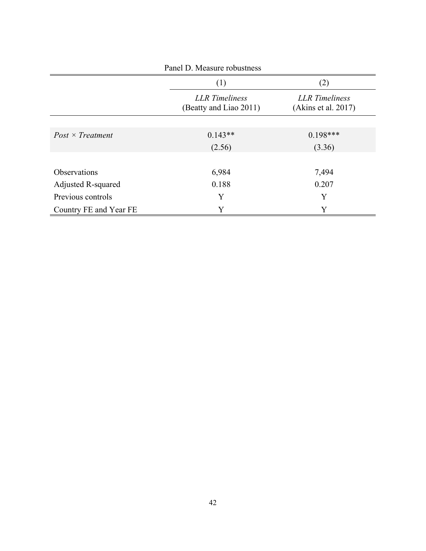| Panel D. Measure robustness |                                                 |                                              |  |  |  |  |
|-----------------------------|-------------------------------------------------|----------------------------------------------|--|--|--|--|
|                             | (1)<br>(2)                                      |                                              |  |  |  |  |
|                             | <b>LLR</b> Timeliness<br>(Beatty and Liao 2011) | <b>LLR</b> Timeliness<br>(Akins et al. 2017) |  |  |  |  |
| $Post \times Treatment$     | $0.143**$                                       | $0.198***$                                   |  |  |  |  |
|                             | (2.56)                                          | (3.36)                                       |  |  |  |  |
| Observations                | 6,984                                           | 7,494                                        |  |  |  |  |
| Adjusted R-squared          | 0.188                                           | 0.207                                        |  |  |  |  |
| Previous controls           | Y                                               | Y                                            |  |  |  |  |
| Country FE and Year FE      | Y                                               | Y                                            |  |  |  |  |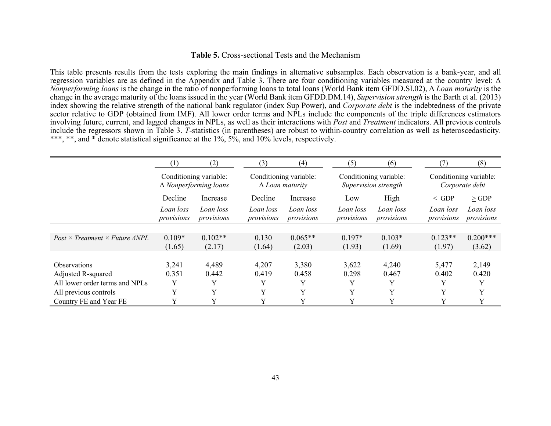#### **Table 5.** Cross-sectional Tests and the Mechanism

This table presents results from the tests exploring the main findings in alternative subsamples. Each observation is a bank-year, and all regression variables are as defined in the Appendix and Table 3. There are four conditioning variables measured at the country level: Δ *Nonperforming loans* is the change in the ratio of nonperforming loans to total loans (World Bank item GFDD.SI.02), Δ *Loan maturity* is the change in the average maturity of the loans issued in the year (World Bank item GFDD.DM.14), *Supervision strength* is the Barth et al. (2013) index showing the relative strength of the national bank regulator (index Sup Power), and *Corporate debt* is the indebtedness of the private sector relative to GDP (obtained from IMF). All lower order terms and NPLs include the components of the triple differences estimators involving future, current, and lagged changes in NPLs, as well as their interactions with *Post* and *Treatment* indicators. All previous controls include the regressors shown in Table 3. *T*-statistics (in parentheses) are robust to within-country correlation as well as heteroscedasticity. \*\*\*, \*\*, and \* denote statistical significance at the 1%, 5%, and 10% levels, respectively.

|                                                    | (1)                     | (2)                          | (3)                     | (4)                                              | (5)                     | (6)                                            | (7)                     | (8)                                      |
|----------------------------------------------------|-------------------------|------------------------------|-------------------------|--------------------------------------------------|-------------------------|------------------------------------------------|-------------------------|------------------------------------------|
|                                                    | Conditioning variable:  | $\Delta$ Nonperforming loans |                         | Conditioning variable:<br>$\Delta$ Loan maturity |                         | Conditioning variable:<br>Supervision strength |                         | Conditioning variable:<br>Corporate debt |
|                                                    | Decline                 | Increase                     | Decline                 | Increase                                         | Low                     | High                                           | $\le$ GDP               | $\geq$ GDP                               |
|                                                    | Loan loss<br>provisions | Loan loss<br>provisions      | Loan loss<br>provisions | Loan loss<br>provisions                          | Loan loss<br>provisions | Loan loss<br>provisions                        | Loan loss<br>provisions | Loan loss<br>provisions                  |
|                                                    |                         |                              |                         |                                                  |                         |                                                |                         |                                          |
| $Post \times Treatment \times Future \ \Delta NPL$ | $0.109*$                | $0.102**$                    | 0.130                   | $0.065**$                                        | $0.197*$                | $0.103*$                                       | $0.123**$               | $0.200***$                               |
|                                                    | (1.65)                  | (2.17)                       | (1.64)                  | (2.03)                                           | (1.93)                  | (1.69)                                         | (1.97)                  | (3.62)                                   |
|                                                    |                         |                              |                         |                                                  |                         |                                                |                         |                                          |
| <b>Observations</b>                                | 3,241                   | 4,489                        | 4,207                   | 3,380                                            | 3,622                   | 4,240                                          | 5,477                   | 2,149                                    |
| Adjusted R-squared                                 | 0.351                   | 0.442                        | 0.419                   | 0.458                                            | 0.298                   | 0.467                                          | 0.402                   | 0.420                                    |
| All lower order terms and NPLs                     | Y                       |                              | Y                       | Y                                                | Y                       | Y                                              | Y                       |                                          |
| All previous controls                              | Y                       | v                            | Y                       | Y                                                | Y                       | $\mathbf{v}$                                   | Y                       | Y                                        |
| Country FE and Year FE                             | Y                       |                              | Y                       |                                                  | Y                       | Y                                              | Y                       | Y                                        |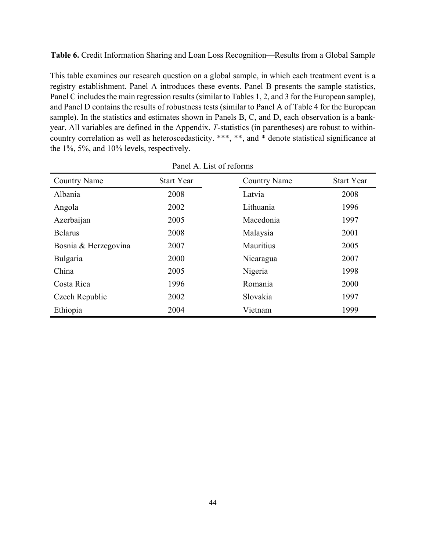**Table 6.** Credit Information Sharing and Loan Loss Recognition—Results from a Global Sample

This table examines our research question on a global sample, in which each treatment event is a registry establishment. Panel A introduces these events. Panel B presents the sample statistics, Panel C includes the main regression results (similar to Tables 1, 2, and 3 for the European sample), and Panel D contains the results of robustness tests (similar to Panel A of Table 4 for the European sample). In the statistics and estimates shown in Panels B, C, and D, each observation is a bankyear. All variables are defined in the Appendix. *T*-statistics (in parentheses) are robust to withincountry correlation as well as heteroscedasticity. \*\*\*, \*\*, and \* denote statistical significance at the 1%, 5%, and 10% levels, respectively.

| <b>Country Name</b>  | <b>Start Year</b> | <b>Country Name</b> | <b>Start Year</b> |
|----------------------|-------------------|---------------------|-------------------|
| Albania              | 2008              | Latvia              | 2008              |
| Angola               | 2002              | Lithuania           | 1996              |
| Azerbaijan           | 2005              | Macedonia           | 1997              |
| <b>Belarus</b>       | 2008              | Malaysia            | 2001              |
| Bosnia & Herzegovina | 2007              | <b>Mauritius</b>    | 2005              |
| Bulgaria             | 2000              | Nicaragua           | 2007              |
| China                | 2005              | Nigeria             | 1998              |
| Costa Rica           | 1996              | Romania             | 2000              |
| Czech Republic       | 2002              | Slovakia            | 1997              |
| Ethiopia             | 2004              | Vietnam             | 1999              |

Panel A. List of reforms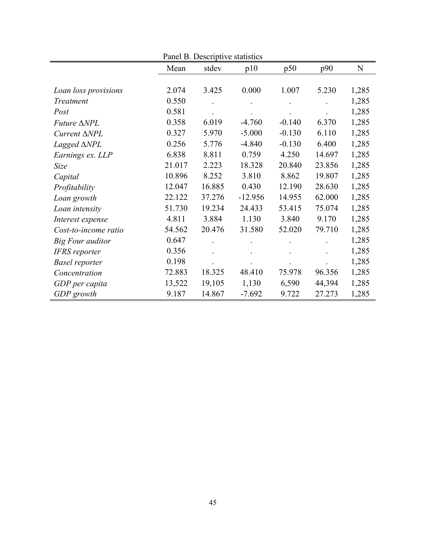| Panel B. Descriptive statistics |        |         |           |          |        |           |
|---------------------------------|--------|---------|-----------|----------|--------|-----------|
|                                 | Mean   | stdev   | p10       | p50      | p90    | ${\bf N}$ |
|                                 |        |         |           |          |        |           |
| Loan loss provisions            | 2.074  | 3.425   | 0.000     | 1.007    | 5.230  | 1,285     |
| Treatment                       | 0.550  |         |           |          |        | 1,285     |
| Post                            | 0.581  |         |           |          |        | 1,285     |
| <i>Future</i> ∆NPL              | 0.358  | 6.019   | $-4.760$  | $-0.140$ | 6.370  | 1,285     |
| Current $\triangle NPL$         | 0.327  | 5.970   | $-5.000$  | $-0.130$ | 6.110  | 1,285     |
| Lagged $\triangle NPL$          | 0.256  | 5.776   | $-4.840$  | $-0.130$ | 6.400  | 1,285     |
| Earnings ex. LLP                | 6.838  | 8.811   | 0.759     | 4.250    | 14.697 | 1,285     |
| Size                            | 21.017 | 2.223   | 18.328    | 20.840   | 23.856 | 1,285     |
| Capital                         | 10.896 | 8.252   | 3.810     | 8.862    | 19.807 | 1,285     |
| Profitability                   | 12.047 | 16.885  | 0.430     | 12.190   | 28.630 | 1,285     |
| Loan growth                     | 22.122 | 37.276  | $-12.956$ | 14.955   | 62.000 | 1,285     |
| Loan intensity                  | 51.730 | 19.234  | 24.433    | 53.415   | 75.074 | 1,285     |
| Interest expense                | 4.811  | 3.884   | 1.130     | 3.840    | 9.170  | 1,285     |
| Cost-to-income ratio            | 54.562 | 20.476  | 31.580    | 52.020   | 79.710 | 1,285     |
| Big Four auditor                | 0.647  |         |           |          |        | 1,285     |
| <b>IFRS</b> reporter            | 0.356  | $\cdot$ |           |          |        | 1,285     |
| <b>Basel reporter</b>           | 0.198  |         |           |          |        | 1,285     |
| Concentration                   | 72.883 | 18.325  | 48.410    | 75.978   | 96.356 | 1,285     |
| GDP per capita                  | 13,522 | 19,105  | 1,130     | 6,590    | 44,394 | 1,285     |
| GDP growth                      | 9.187  | 14.867  | $-7.692$  | 9.722    | 27.273 | 1,285     |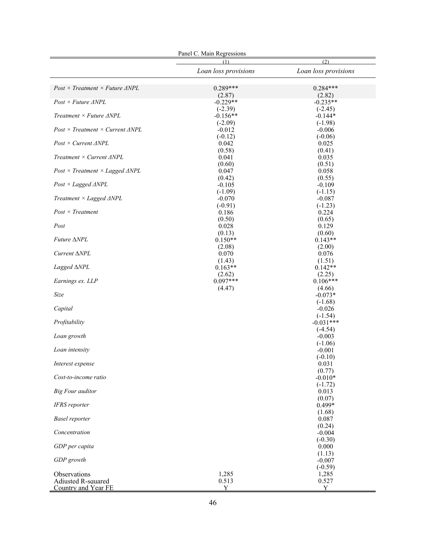| Panel C. Main Regressions                           |                         |                          |  |  |
|-----------------------------------------------------|-------------------------|--------------------------|--|--|
|                                                     | (2)<br>(1)              |                          |  |  |
|                                                     | Loan loss provisions    | Loan loss provisions     |  |  |
| $Post \times Treatment \times Future \ \Delta NPL$  | $0.289***$              | $0.284***$               |  |  |
| $Post \times Future \triangle NPL$                  | (2.87)<br>$-0.229**$    | (2.82)<br>$-0.235**$     |  |  |
| Treatment $\times$ Future $\triangle NPL$           | $(-2.39)$<br>$-0.156**$ | $(-2.45)$<br>$-0.144*$   |  |  |
| $Post \times Treatment \times Current \ \Delta NPL$ | $(-2.09)$<br>$-0.012$   | $(-1.98)$<br>$-0.006$    |  |  |
| $Post \times Current \ \Delta NPL$                  | $(-0.12)$<br>0.042      | $(-0.06)$<br>0.025       |  |  |
| Treatment $\times$ Current $\triangle NPL$          | (0.58)<br>0.041         | (0.41)<br>0.035          |  |  |
| $Post \times Treatment \times Lagged \ \Delta NPL$  | (0.60)<br>0.047         | (0.51)<br>0.058          |  |  |
| $Post \times Laged \triangle NPL$                   | (0.42)<br>$-0.105$      | (0.55)<br>$-0.109$       |  |  |
| Treatment $\times$ Lagged $\triangle NPL$           | $(-1.09)$<br>$-0.070$   | $(-1.15)$<br>$-0.087$    |  |  |
| $Post \times Treatment$                             | $(-0.91)$<br>0.186      | $(-1.23)$<br>0.224       |  |  |
| Post                                                | (0.50)<br>0.028         | (0.65)<br>0.129          |  |  |
| Future ∆NPL                                         | (0.13)<br>$0.150**$     | (0.60)<br>$0.143**$      |  |  |
| Current $\triangle NPL$                             | (2.08)<br>0.070         | (2.00)<br>0.076          |  |  |
| Lagged $\triangle NPL$                              | (1.43)<br>$0.163**$     | (1.51)<br>$0.142**$      |  |  |
| Earnings ex. LLP                                    | (2.62)<br>$0.097***$    | (2.25)<br>$0.106***$     |  |  |
| Size                                                | (4.47)                  | (4.66)<br>$-0.073*$      |  |  |
| Capital                                             |                         | $(-1.68)$<br>$-0.026$    |  |  |
| Profitability                                       |                         | $(-1.54)$<br>$-0.031***$ |  |  |
| Loan growth                                         |                         | $(-4.54)$<br>$-0.003$    |  |  |
| Loan intensity                                      |                         | $(-1.06)$<br>$-0.001$    |  |  |
| Interest expense                                    |                         | $(-0.10)$<br>0.031       |  |  |
| Cost-to-income ratio                                |                         | (0.77)<br>$-0.010*$      |  |  |
| <b>Big Four auditor</b>                             |                         | $(-1.72)$<br>0.013       |  |  |
| IFRS reporter                                       |                         | (0.07)<br>0.499*         |  |  |
| <b>Basel</b> reporter                               |                         | (1.68)<br>0.087          |  |  |
| Concentration                                       |                         | (0.24)<br>$-0.004$       |  |  |
| GDP per capita                                      |                         | $(-0.30)$<br>0.000       |  |  |
| GDP growth                                          |                         | (1.13)<br>$-0.007$       |  |  |
| Observations                                        | 1,285                   | $(-0.59)$<br>1,285       |  |  |
| Adjusted R-squared<br>Country and Year FE           | 0.513<br>Y              | 0.527<br>Y               |  |  |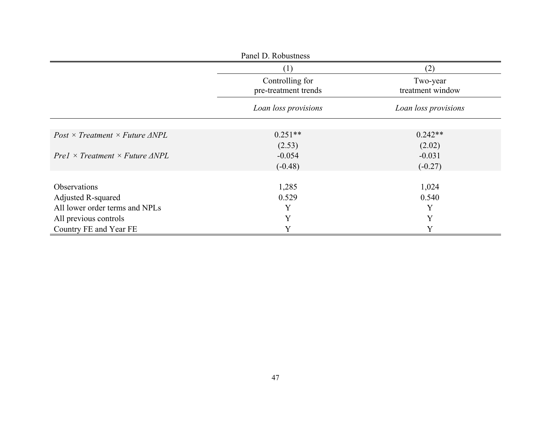| Panel D. Robustness                                |                                         |                                     |  |  |  |
|----------------------------------------------------|-----------------------------------------|-------------------------------------|--|--|--|
|                                                    | (1)                                     | (2)<br>Two-year<br>treatment window |  |  |  |
|                                                    | Controlling for<br>pre-treatment trends |                                     |  |  |  |
|                                                    | Loan loss provisions                    | Loan loss provisions                |  |  |  |
| $Post \times Treatment \times Future \ \Delta NPL$ | $0.251**$                               | $0.242**$                           |  |  |  |
| $Pre1 \times Treatment \times Future \ \Delta NPL$ | (2.53)<br>$-0.054$                      | (2.02)<br>$-0.031$                  |  |  |  |
|                                                    | $(-0.48)$                               | $(-0.27)$                           |  |  |  |
| <b>Observations</b>                                | 1,285                                   | 1,024                               |  |  |  |
| Adjusted R-squared                                 | 0.529                                   | 0.540                               |  |  |  |
| All lower order terms and NPLs                     | Y                                       | Y                                   |  |  |  |
| All previous controls                              | Y                                       | Y                                   |  |  |  |
| Country FE and Year FE                             | Y                                       | Y                                   |  |  |  |